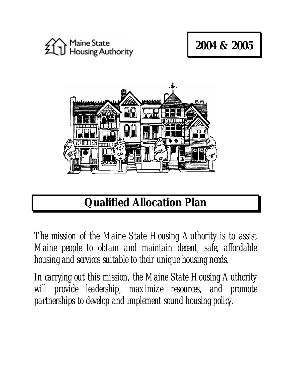

# **2004 & 2005**



# **Qualified Allocation Plan**

*The mission of the Maine State Housing Authority is to assist Maine people to obtain and maintain decent, safe, affordable housing and services suitable to their unique housing needs.* 

*In carrying out this mission, the Maine State Housing Authority will provide leadership, maximize resources, and promote partnerships to develop and implement sound housing policy.*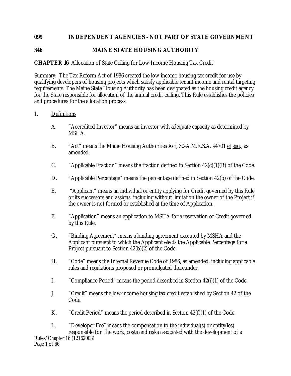## **099 INDEPENDENT AGENCIES - NOT PART OF STATE GOVERNMENT**

# **346 MAINE STATE HOUSING AUTHORITY**

# **CHAPTER 16** Allocation of State Ceiling for Low-Income Housing Tax Credit

Summary: The Tax Reform Act of 1986 created the low-income housing tax credit for use by qualifying developers of housing projects which satisfy applicable tenant income and rental targeting requirements. The Maine State Housing Authority has been designated as the housing credit agency for the State responsible for allocation of the annual credit ceiling. This Rule establishes the policies and procedures for the allocation process.

#### 1. Definitions

- A. "Accredited Investor" means an investor with adequate capacity as determined by MSHA.
- B. "Act" means the Maine Housing Authorities Act, 30-A M.R.S.A. §4701 et seq., as amended.
- C. "Applicable Fraction" means the fraction defined in Section  $42(c)(1)(B)$  of the Code.
- D. "Applicable Percentage" means the percentage defined in Section 42(b) of the Code.
- E. "Applicant" means an individual or entity applying for Credit governed by this Rule or its successors and assigns, including without limitation the owner of the Project if the owner is not formed or established at the time of Application.
- F. "Application" means an application to MSHA for a reservation of Credit governed by this Rule.
- G. "Binding Agreement" means a binding agreement executed by MSHA and the Applicant pursuant to which the Applicant elects the Applicable Percentage for a Project pursuant to Section 42(b)(2) of the Code.
- H. "Code" means the Internal Revenue Code of 1986, as amended, including applicable rules and regulations proposed or promulgated thereunder.
- I. "Compliance Period" means the period described in Section 42(i)(1) of the Code.
- J. "Credit" means the low-income housing tax credit established by Section 42 of the Code.
- K. "Credit Period" means the period described in Section 42(f)(1) of the Code.

Rules/Chapter 16 (12162003) L. "Developer Fee" means the compensation to the individual(s) or entity(ies) responsible for the work, costs and risks associated with the development of a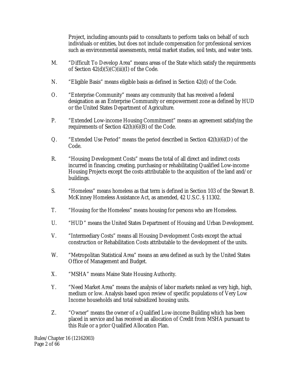Project, including amounts paid to consultants to perform tasks on behalf of such individuals or entities, but does not include compensation for professional services such as environmental assessments, rental market studies, soil tests, and water tests.

- M. "Difficult To Develop Area" means areas of the State which satisfy the requirements of Section  $42(d)(5)(C)(iii)(I)$  of the Code.
- N. "Eligible Basis" means eligible basis as defined in Section 42(d) of the Code.
- O. "Enterprise Community" means any community that has received a federal designation as an Enterprise Community or empowerment zone as defined by HUD or the United States Department of Agriculture.
- P. "Extended Low-income Housing Commitment" means an agreement satisfying the requirements of Section 42(h)(6)(B) of the Code.
- Q. "Extended Use Period" means the period described in Section 42(h)(6)(D) of the Code.
- R. "Housing Development Costs" means the total of all direct and indirect costs incurred in financing, creating, purchasing or rehabilitating Qualified Low-income Housing Projects except the costs attributable to the acquisition of the land and/or buildings.
- S. "Homeless" means homeless as that term is defined in Section 103 of the Stewart B. McKinney Homeless Assistance Act, as amended, 42 U.S.C. § 11302.
- T. "Housing for the Homeless" means housing for persons who are Homeless.
- U. "HUD" means the United States Department of Housing and Urban Development.
- V. "Intermediary Costs" means all Housing Development Costs except the actual construction or Rehabilitation Costs attributable to the development of the units.
- W. "Metropolitan Statistical Area" means an area defined as such by the United States Office of Management and Budget.
- X. "MSHA" means Maine State Housing Authority.
- Y. "Need Market Area" means the analysis of labor markets ranked as very high, high, medium or low. Analysis based upon review of specific populations of Very Low Income households and total subsidized housing units.
- Z. "Owner" means the owner of a Qualified Low-income Building which has been placed in service and has received an allocation of Credit from MSHA pursuant to this Rule or a prior Qualified Allocation Plan.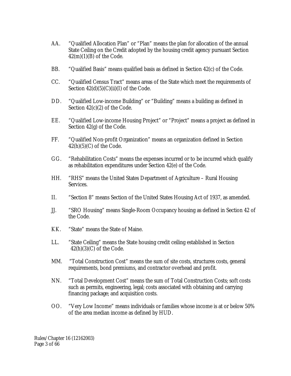- AA. "Qualified Allocation Plan" or "Plan" means the plan for allocation of the annual State Ceiling on the Credit adopted by the housing credit agency pursuant Section  $42(m)(1)(B)$  of the Code.
- BB. "Qualified Basis" means qualified basis as defined in Section 42(c) of the Code.
- CC. "Qualified Census Tract" means areas of the State which meet the requirements of Section  $42(d)(5)(C)(ii)(I)$  of the Code.
- DD. "Qualified Low-income Building" or "Building" means a building as defined in Section 42(c)(2) of the Code.
- EE. "Qualified Low-income Housing Project" or "Project" means a project as defined in Section 42(g) of the Code.
- FF. "Qualified Non-profit Organization" means an organization defined in Section  $42(h)(5)(C)$  of the Code.
- GG. "Rehabilitation Costs" means the expenses incurred or to be incurred which qualify as rehabilitation expenditures under Section 42(e) of the Code.
- HH. "RHS" means the United States Department of Agriculture Rural Housing Services.
- II. "Section 8" means Section of the United States Housing Act of 1937, as amended.
- JJ. "SRO Housing" means Single-Room Occupancy housing as defined in Section 42 of the Code.
- KK. "State" means the State of Maine.
- LL. "State Ceiling" means the State housing credit ceiling established in Section  $42(h)(3)(C)$  of the Code.
- MM. "Total Construction Cost" means the sum of site costs, structures costs, general requirements, bond premiums, and contractor overhead and profit.
- NN. "Total Development Cost" means the sum of Total Construction Costs; soft costs such as permits, engineering, legal; costs associated with obtaining and carrying financing package; and acquisition costs.
- OO. "Very Low Income" means individuals or families whose income is at or below 50% of the area median income as defined by HUD.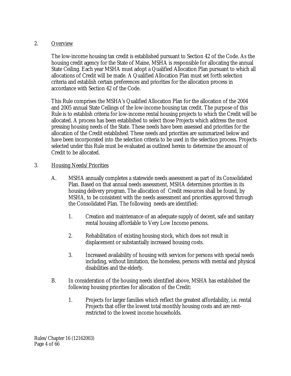#### 2. Overview

The low-income housing tax credit is established pursuant to Section 42 of the Code. As the housing credit agency for the State of Maine, MSHA is responsible for allocating the annual State Ceiling. Each year MSHA must adopt a Qualified Allocation Plan pursuant to which all allocations of Credit will be made. A Qualified Allocation Plan must set forth selection criteria and establish certain preferences and priorities for the allocation process in accordance with Section 42 of the Code.

This Rule comprises the MSHA's Qualified Allocation Plan for the allocation of the 2004 and 2005 annual State Ceilings of the low-income housing tax credit. The purpose of this Rule is to establish criteria for low-income rental housing projects to which the Credit will be allocated. A process has been established to select those Projects which address the most pressing housing needs of the State. These needs have been assessed and priorities for the allocation of the Credit established. These needs and priorities are summarized below and have been incorporated into the selection criteria to be used in the selection process. Projects selected under this Rule must be evaluated as outlined herein to determine the amount of Credit to be allocated.

## 3. Housing Needs/Priorities

- A. MSHA annually completes a statewide needs assessment as part of its Consolidated Plan. Based on that annual needs assessment, MSHA determines priorities in its housing delivery program. The allocation of Credit resources shall be found, by MSHA, to be consistent with the needs assessment and priorities approved through the Consolidated Plan. The following needs are identified:
	- 1. Creation and maintenance of an adequate supply of decent, safe and sanitary rental housing affordable to Very Low Income persons.
	- 2. Rehabilitation of existing housing stock, which does not result in displacement or substantially increased housing costs.
	- 3. Increased availability of housing with services for persons with special needs including, without limitation, the homeless, persons with mental and physical disabilities and the elderly.
- B. In consideration of the housing needs identified above, MSHA has established the following housing priorities for allocation of the Credit:
	- 1. Projects for larger families which reflect the greatest affordability, i.e. rental Projects that offer the lowest total monthly housing costs and are rentrestricted to the lowest income households.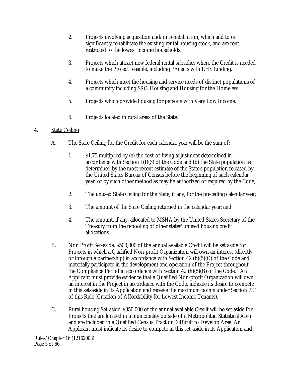- 2. Projects involving acquisition and/or rehabilitation, which add to or significantly rehabilitate the existing rental housing stock, and are rentrestricted to the lowest income households.
- 3. Projects which attract new federal rental subsidies where the Credit is needed to make the Project feasible, including Projects with RHS funding.
- 4. Projects which meet the housing and service needs of distinct populations of a community including SRO Housing and Housing for the Homeless.
- 5. Projects which provide housing for persons with Very Low Income.
- 6. Projects located in rural areas of the State.

# 4. State Ceiling

- A. The State Ceiling for the Credit for each calendar year will be the sum of:
	- 1. \$1.75 multiplied by (a) the cost-of-living adjustment determined in accordance with Section 1(f)(3) of the Code and (b) the State population as determined by the most recent estimate of the State's population released by the United States Bureau of Census before the beginning of such calendar year, or by such other method as may be authorized or required by the Code;
	- 2. The unused State Ceiling for the State, if any, for the preceding calendar year;
	- 3. The amount of the State Ceiling returned in the calendar year; and
	- 4. The amount, if any, allocated to MSHA by the United States Secretary of the Treasury from the repooling of other states' unused housing credit allocations.
- B. Non Profit Set-aside. \$500,000 of the annual available Credit will be set aside for Projects in which a Qualified Non-profit Organization will own an interest (directly or through a partnership) in accordance with Section 42 (h)(5)(C) of the Code and materially participate in the development and operation of the Project throughout the Compliance Period in accordance with Section 42 (h)(5)(B) of the Code. An Applicant must provide evidence that a Qualified Non-profit Organization will own an interest in the Project in accordance with the Code, indicate its desire to compete in this set-aside in its Application and receive the maximum points under Section 7.C of this Rule (Creation of Affordability for Lowest Income Tenants).
- C. Rural housing Set-aside. \$350,000 of the annual available Credit will be set aside for Projects that are located in a municipality outside of a Metropolitan Statistical Area and are included in a Qualified Census Tract or Difficult to Develop Area. An Applicant must indicate its desire to compete in this set-aside in its Application and

Rules/Chapter 16 (12162003) Page 5 of 66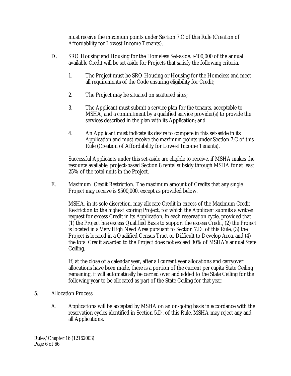must receive the maximum points under Section 7.C of this Rule (Creation of Affordability for Lowest Income Tenants).

- D. SRO Housing and Housing for the Homeless Set-aside. \$400,000 of the annual available Credit will be set aside for Projects that satisfy the following criteria.
	- 1. The Project must be SRO Housing or Housing for the Homeless and meet all requirements of the Code ensuring eligibility for Credit;
	- 2. The Project may be situated on scattered sites;
	- 3. The Applicant must submit a service plan for the tenants, acceptable to MSHA, and a commitment by a qualified service provider(s) to provide the services described in the plan with its Application; and
	- 4. An Applicant must indicate its desire to compete in this set-aside in its Application and must receive the maximum points under Section 7.C of this Rule (Creation of Affordability for Lowest Income Tenants).

Successful Applicants under this set-aside are eligible to receive, if MSHA makes the resource available, project-based Section 8 rental subsidy through MSHA for at least 25% of the total units in the Project.

E. Maximum Credit Restriction. The maximum amount of Credits that any single Project may receive is \$500,000, except as provided below.

MSHA, in its sole discretion, may allocate Credit in excess of the Maximum Credit Restriction to the highest scoring Project, for which the Applicant submits a written request for excess Credit in its Application, in each reservation cycle, provided that (1) the Project has excess Qualified Basis to support the excess Credit, (2) the Project is located in a Very High Need Area pursuant to Section 7.D. of this Rule, (3) the Project is located in a Qualified Census Tract or Difficult to Develop Area, and (4) the total Credit awarded to the Project does not exceed 30% of MSHA's annual State Ceiling.

If, at the close of a calendar year, after all current year allocations and carryover allocations have been made, there is a portion of the current per capita State Ceiling remaining, it will automatically be carried over and added to the State Ceiling for the following year to be allocated as part of the State Ceiling for that year.

# 5. Allocation Process

A. Applications will be accepted by MSHA on an on-going basis in accordance with the reservation cycles identified in Section 5.D. of this Rule. MSHA may reject any and all Applications.

Rules/Chapter 16 (12162003) Page 6 of 66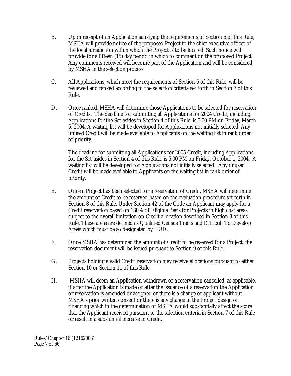- B. Upon receipt of an Application satisfying the requirements of Section 6 of this Rule, MSHA will provide notice of the proposed Project to the chief executive officer of the local jurisdiction within which the Project is to be located. Such notice will provide for a fifteen (15) day period in which to comment on the proposed Project. Any comments received will become part of the Application and will be considered by MSHA in the selection process.
- C. All Applications, which meet the requirements of Section 6 of this Rule, will be reviewed and ranked according to the selection criteria set forth in Section 7 of this Rule.
- D. Once ranked, MSHA will determine those Applications to be selected for reservation of Credits. The deadline for submitting all Applications for 2004 Credit, including Applications for the Set-asides in Section 4 of this Rule, is 5:00 PM on Friday, March 5, 2004. A waiting list will be developed for Applications not initially selected. Any unused Credit will be made available to Applicants on the waiting list in rank order of priority.

The deadline for submitting all Applications for 2005 Credit, including Applications for the Set-asides in Section 4 of this Rule, is 5:00 PM on Friday, October 1, 2004. A waiting list will be developed for Applications not initially selected. Any unused Credit will be made available to Applicants on the waiting list in rank order of priority.

- E. Once a Project has been selected for a reservation of Credit, MSHA will determine the amount of Credit to be reserved based on the evaluation procedure set forth in Section 8 of this Rule. Under Section 42 of the Code an Applicant may apply for a Credit reservation based on 130% of Eligible Basis for Projects in high cost areas, subject to the overall limitation on Credit allocation described in Section 8 of this Rule. These areas are defined as Qualified Census Tracts and Difficult To Develop Areas which must be so designated by HUD.
- F. Once MSHA has determined the amount of Credit to be reserved for a Project, the reservation document will be issued pursuant to Section 9 of this Rule.
- G. Projects holding a valid Credit reservation may receive allocations pursuant to either Section 10 or Section 11 of this Rule.
- H. MSHA will deem an Application withdrawn or a reservation cancelled, as applicable, if after the Application is made or after the issuance of a reservation the Application or reservation is amended or assigned or there is a change of applicant without MSHA's prior written consent or there is any change in the Project design or financing which in the determination of MSHA would substantially affect the score that the Applicant received pursuant to the selection criteria in Section 7 of this Rule or result in a substantial increase in Credit.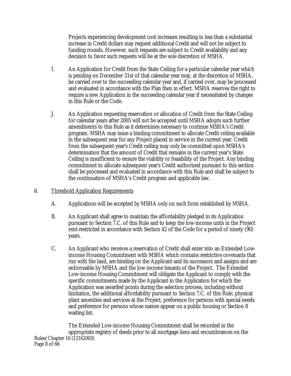Projects experiencing development cost increases resulting in less than a substantial increase in Credit dollars may request additional Credit and will not be subject to funding rounds. However, such requests are subject to Credit availability and any decision to favor such requests will be at the sole discretion of MSHA.

- I. An Application for Credit from the State Ceiling for a particular calendar year which is pending on December 31st of that calendar year may, at the discretion of MSHA, be carried over to the succeeding calendar year and, if carried over, may be processed and evaluated in accordance with the Plan then in effect. MSHA reserves the right to require a new Application in the succeeding calendar year if necessitated by changes in this Rule or the Code.
- J. An Application requesting reservation or allocation of Credit from the State Ceiling for calendar years after 2005 will not be accepted until MSHA adopts such further amendments to this Rule as it determines necessary to continue MSHA's Credit program. MSHA may issue a binding commitment to allocate Credit ceiling available in the subsequent year for any Project placed in service in the current year. Credit from the subsequent year's Credit ceiling may only be committed upon MSHA's determination that the amount of Credit that remains in the current year's State Ceiling is insufficient to ensure the viability or feasibility of the Project. Any binding commitment to allocate subsequent year's Credit authorized pursuant to this section shall be processed and evaluated in accordance with this Rule and shall be subject to the continuation of MSHA's Credit program and applicable law.

## 6. Threshold Application Requirements

- A. Applications will be accepted by MSHA only on such form established by MSHA.
- B. An Applicant shall agree to maintain the affordability pledged in its Application pursuant to Section 7.C. of this Rule and to keep the low-income units in the Project rent-restricted in accordance with Section 42 of the Code for a period of ninety (90) years.
- C. An Applicant who receives a reservation of Credit shall enter into an Extended Lowincome Housing Commitment with MSHA which contains restrictive covenants that run with the land, are binding on the Applicant and its successors and assigns and are enforceable by MSHA and the low-income tenants of the Project. The Extended Low-income Housing Commitment will obligate the Applicant to comply with the specific commitments made by the Applicant in the Application for which the Application was awarded points during the selection process, including without limitation, the additional affordability pursuant to Section 7.C. of this Rule, physical plant amenities and services at the Project, preference for persons with special needs and preference for persons whose names appear on a public housing or Section 8 waiting list.

Rules/Chapter 16 (12162003) Page 8 of 66 The Extended Low-income Housing Commitment shall be recorded in the appropriate registry of deeds prior to all mortgage liens and encumbrances on the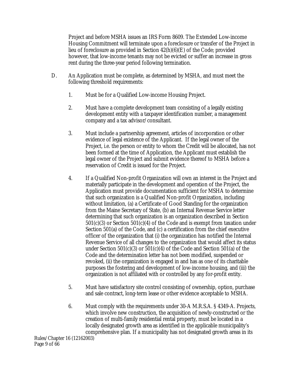Project and before MSHA issues an IRS Form 8609. The Extended Low-income Housing Commitment will terminate upon a foreclosure or transfer of the Project in lieu of foreclosure as provided in Section 42(h)(6)(E) of the Code; provided however, that low-income tenants may not be evicted or suffer an increase in gross rent during the three-year period following termination.

- D. An Application must be complete, as determined by MSHA, and must meet the following threshold requirements:
	- 1. Must be for a Qualified Low-income Housing Project.
	- 2. Must have a complete development team consisting of a legally existing development entity with a taxpayer identification number, a management company and a tax advisor/consultant.
	- 3. Must include a partnership agreement, articles of incorporation or other evidence of legal existence of the Applicant. If the legal owner of the Project, i.e. the person or entity to whom the Credit will be allocated, has not been formed at the time of Application, the Applicant must establish the legal owner of the Project and submit evidence thereof to MSHA before a reservation of Credit is issued for the Project.
	- 4. If a Qualified Non-profit Organization will own an interest in the Project and materially participate in the development and operation of the Project, the Application must provide documentation sufficient for MSHA to determine that such organization is a Qualified Non-profit Organization, including without limitation, (a) a Certificate of Good Standing for the organization from the Maine Secretary of State, (b) an Internal Revenue Service letter determining that such organization is an organization described in Section 501(c)(3) or Section 501(c)(4) of the Code and is exempt from taxation under Section 501(a) of the Code, and (c) a certification from the chief executive officer of the organization that (i) the organization has notified the Internal Revenue Service of all changes to the organization that would affect its status under Section 501(c)(3) or 501(c)(4) of the Code and Section 501(a) of the Code and the determination letter has not been modified, suspended or revoked, (ii) the organization is engaged in and has as one of its charitable purposes the fostering and development of low-income housing, and (iii) the organization is not affiliated with or controlled by any for-profit entity.
	- 5. Must have satisfactory site control consisting of ownership, option, purchase and sale contract, long-term lease or other evidence acceptable to MSHA.
	- 6. Must comply with the requirements under 30-A M.R.S.A. § 4349-A. Projects, which involve new construction, the acquisition of newly-constructed or the creation of multi-family residential rental property, must be located in a locally designated growth area as identified in the applicable municipality's comprehensive plan. If a municipality has not designated growth areas in its

Rules/Chapter 16 (12162003) Page 9 of 66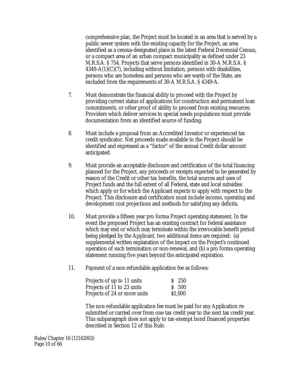comprehensive plan, the Project must be located in an area that is served by a public sewer system with the existing capacity for the Project, an area identified as a census-designated place in the latest Federal Decennial Census, or a compact area of an urban compact municipality as defined under 23 M.R.S.A. § 754. Projects that serve persons identified in 30-A M.R.S.A. §  $4349-A(1)(C)(7)$ , including without limitation, persons with disabilities, persons who are homeless and persons who are wards of the State, are excluded from the requirements of 30-A M.R.S.A. § 4349-A.

- 7. Must demonstrate the financial ability to proceed with the Project by providing current status of applications for construction and permanent loan commitments, or other proof of ability to proceed from existing resources. Providers which deliver services to special needs populations must provide documentation from an identified source of funding.
- 8. Must include a proposal from an Accredited Investor or experienced tax credit syndicator. Net proceeds made available to the Project should be identified and expressed as a "factor" of the annual Credit dollar amount anticipated.
- 9. Must provide an acceptable disclosure and certification of the total financing planned for the Project, any proceeds or receipts expected to be generated by reason of the Credit or other tax benefits, the total sources and uses of Project funds and the full extent of all Federal, state and local subsidies which apply or for which the Applicant expects to apply with respect to the Project. This disclosure and certification must include income, operating and development cost projections and methods for satisfying any deficits.
- 10. Must provide a fifteen year pro forma Project operating statement. In the event the proposed Project has an existing contract for federal assistance which may end or which may terminate within the irrevocable benefit period being pledged by the Applicant, two additional items are required: (a) supplemental written explanation of the impact on the Project's continued operation of such termination or non-renewal, and (b) a pro forma operating statement running five years beyond the anticipated expiration.
- 11. Payment of a non-refundable application fee as follows:

| Projects of up to 11 units   | $S$ 250 |
|------------------------------|---------|
| Projects of 11 to 23 units   | S 500   |
| Projects of 24 or more units | \$1,000 |

The non-refundable application fee must be paid for any Application resubmitted or carried over from one tax credit year to the next tax credit year. This subparagraph does not apply to tax-exempt bond financed properties described in Section 12 of this Rule.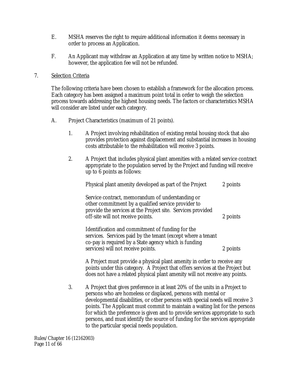- E. MSHA reserves the right to require additional information it deems necessary in order to process an Application.
- F. An Applicant may withdraw an Application at any time by written notice to MSHA; however, the application fee will not be refunded.

#### 7. Selection Criteria

The following criteria have been chosen to establish a framework for the allocation process. Each category has been assigned a maximum point total in order to weigh the selection process towards addressing the highest housing needs. The factors or characteristics MSHA will consider are listed under each category.

- A. Project Characteristics (maximum of 21 points).
	- 1. A Project involving rehabilitation of existing rental housing stock that also provides protection against displacement and substantial increases in housing costs attributable to the rehabilitation will receive 3 points.
	- 2. A Project that includes physical plant amenities with a related service contract appropriate to the population served by the Project and funding will receive up to 6 points as follows:

| Physical plant amenity developed as part of the Project                                                                                                                                                     | 2 points |
|-------------------------------------------------------------------------------------------------------------------------------------------------------------------------------------------------------------|----------|
| Service contract, memorandum of understanding or<br>other commitment by a qualified service provider to<br>provide the services at the Project site. Services provided<br>off-site will not receive points. | 2 points |
| Identification and commitment of funding for the<br>services. Services paid by the tenant (except where a tenant<br>co-pay is required by a State agency which is funding                                   |          |

services) will not receive points. 2 points A Project must provide a physical plant amenity in order to receive any points under this category. A Project that offers services at the Project but

does not have a related physical plant amenity will not receive any points.

3. A Project that gives preference in at least 20% of the units in a Project to persons who are homeless or displaced, persons with mental or developmental disabilities, or other persons with special needs will receive 3 points. The Applicant must commit to maintain a waiting list for the persons for which the preference is given and to provide services appropriate to such persons, and must identify the source of funding for the services appropriate to the particular special needs population.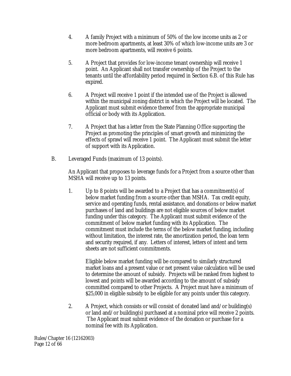- 4. A family Project with a minimum of 50% of the low income units as 2 or more bedroom apartments, at least 30% of which low-income units are 3 or more bedroom apartments, will receive 6 points.
- 5. A Project that provides for low-income tenant ownership will receive 1 point. An Applicant shall not transfer ownership of the Project to the tenants until the affordability period required in Section 6.B. of this Rule has expired.
- 6. A Project will receive 1 point if the intended use of the Project is allowed within the municipal zoning district in which the Project will be located. The Applicant must submit evidence thereof from the appropriate municipal official or body with its Application.
- 7. A Project that has a letter from the State Planning Office supporting the Project as promoting the principles of smart growth and minimizing the effects of sprawl will receive 1 point. The Applicant must submit the letter of support with its Application.
- B. Leveraged Funds (maximum of 13 points).

An Applicant that proposes to leverage funds for a Project from a source other than MSHA will receive up to 13 points.

1. Up to 8 points will be awarded to a Project that has a commitment(s) of below market funding from a source other than MSHA. Tax credit equity, service and operating funds, rental assistance, and donations or below market purchases of land and buildings are not eligible sources of below market funding under this category. The Applicant must submit evidence of the commitment of below market funding with its Application. The commitment must include the terms of the below market funding, including without limitation, the interest rate, the amortization period, the loan term and security required, if any. Letters of interest, letters of intent and term sheets are not sufficient commitments.

Eligible below market funding will be compared to similarly structured market loans and a present value or net present value calculation will be used to determine the amount of subsidy. Projects will be ranked from highest to lowest and points will be awarded according to the amount of subsidy committed compared to other Projects. A Project must have a minimum of \$25,000 in eligible subsidy to be eligible for any points under this category.

2. A Project, which consists or will consist of donated land and/or building(s) or land and/or building(s) purchased at a nominal price will receive 2 points. The Applicant must submit evidence of the donation or purchase for a nominal fee with its Application.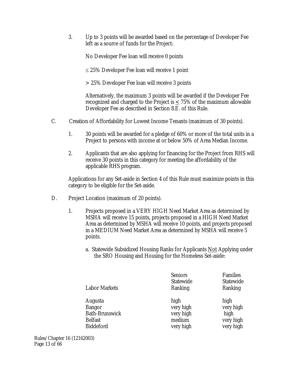3. Up to 3 points will be awarded based on the percentage of Developer Fee left as a source of funds for the Project:

No Developer Fee loan will receive 0 points

 $\leq$  25% Developer Fee loan will receive 1 point

> 25% Developer Fee loan will receive 3 points

Alternatively, the maximum 3 points will be awarded if the Developer Fee recognized and charged to the Project is < 75% of the maximum allowable Developer Fee as described in Section 8.E. of this Rule.

- C. Creation of Affordability for Lowest Income Tenants (maximum of 30 points).
	- 1. 30 points will be awarded for a pledge of 60% or more of the total units in a Project to persons with income at or below 50% of Area Median Income.
	- 2. Applicants that are also applying for financing for the Project from RHS will receive 30 points in this category for meeting the affordability of the applicable RHS program.

Applications for any Set-aside in Section 4 of this Rule must maximize points in this category to be eligible for the Set-aside.

- D. Project Location (maximum of 20 points).
	- 1. Projects proposed in a VERY HIGH Need Market Area as determined by MSHA will receive 15 points, projects proposed in a HIGH Need Market Area as determined by MSHA will receive 10 points, and projects proposed in a MEDIUM Need Market Area as determined by MSHA will receive 5 points.
		- a. Statewide Subsidized Housing Ranks for Applicants Not Applying under the SRO Housing and Housing for the Homeless Set-aside:

| <b>Labor Markets</b>  | <b>Seniors</b><br><b>Statewide</b><br>Ranking | <b>Families</b><br><b>Statewide</b><br>Ranking |
|-----------------------|-----------------------------------------------|------------------------------------------------|
| Augusta               | high                                          | high                                           |
| <b>Bangor</b>         | very high                                     | very high                                      |
| <b>Bath-Brunswick</b> | very high                                     | high                                           |
| <b>Belfast</b>        | medium                                        | very high                                      |
| <b>Biddeford</b>      | very high                                     | very high                                      |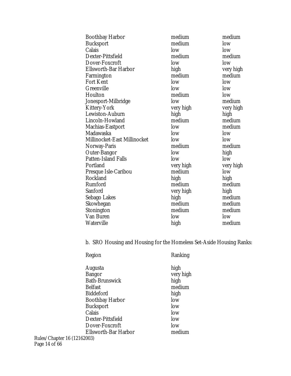| <b>Boothbay Harbor</b>       | medium    | medium    |
|------------------------------|-----------|-----------|
| <b>Bucksport</b>             | medium    | low       |
| Calais                       | low       | low       |
| Dexter-Pittsfield            | medium    | medium    |
| Dover-Foxcroft               | low       | low       |
| <b>Ellsworth-Bar Harbor</b>  | high      | very high |
| Farmington                   | medium    | medium    |
| <b>Fort Kent</b>             | low       | low       |
| Greenville                   | low       | low       |
| Houlton                      | medium    | low       |
| Jonesport-Milbridge          | low       | medium    |
| <b>Kittery-York</b>          | very high | very high |
| Lewiston-Auburn              | high      | high      |
| Lincoln-Howland              | medium    | medium    |
| <b>Machias-Eastport</b>      | low       | medium    |
| Madawaska                    | low       | low       |
| Millinocket-East Millinocket | low       | low       |
| Norway-Paris                 | medium    | medium    |
| <b>Outer-Bangor</b>          | low       | high      |
| <b>Patten-Island Falls</b>   | low       | low       |
| Portland                     | very high | very high |
| Presque Isle-Caribou         | medium    | low       |
| Rockland                     | high      | high      |
| Rumford                      | medium    | medium    |
| Sanford                      | very high | high      |
| Sebago Lakes                 | high      | medium    |
| Skowhegan                    | medium    | medium    |
| Stonington                   | medium    | medium    |
| Van Buren                    | low       | low       |
| <b>Waterville</b>            | high      | medium    |
|                              |           |           |

b. SRO Housing and Housing for the Homeless Set-Aside Housing Ranks:

| Region                                                                                                                                                                                 | Ranking                                                                                  |
|----------------------------------------------------------------------------------------------------------------------------------------------------------------------------------------|------------------------------------------------------------------------------------------|
| Augusta<br><b>Bangor</b><br><b>Bath-Brunswick</b><br><b>Belfast</b><br><b>Biddeford</b><br><b>Boothbay Harbor</b><br><b>Bucksport</b><br>Calais<br>Dexter-Pittsfield<br>Dover-Foxcroft | high<br>very high<br>high<br>medium<br>high<br>low<br>low<br>low<br>low<br>low<br>medium |
| Ellsworth-Bar Harbor<br>32003)                                                                                                                                                         |                                                                                          |

Rules/Chapter 16 (12162003) Page 14 of 66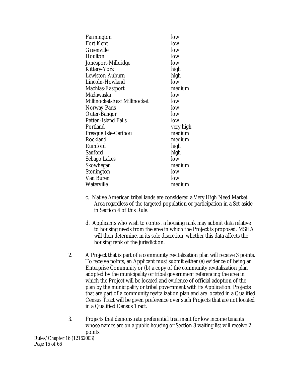| Farmington                   | low       |
|------------------------------|-----------|
| Fort Kent                    | low       |
| Greenville                   | low       |
| Houlton                      | low       |
| Jonesport-Milbridge          | low       |
| Kittery-York                 | high      |
| <b>Lewiston-Auburn</b>       | high      |
| Lincoln-Howland              | low       |
| Machias-Eastport             | medium    |
| Madawaska                    | low       |
| Millinocket-East Millinocket | low       |
| Norway-Paris                 | low       |
| <b>Outer-Bangor</b>          | low       |
| <b>Patten-Island Falls</b>   | low       |
| Portland                     | very high |
| Presque Isle-Caribou         | medium    |
| Rockland                     | medium    |
| Rumford                      | high      |
| Sanford                      | high      |
| Sebago Lakes                 | low       |
| Skowhegan                    | medium    |
| Stonington                   | low       |
| Van Buren                    | low       |
| Waterville                   | medium    |
|                              |           |

- c. Native American tribal lands are considered a Very High Need Market Area regardless of the targeted population or participation in a Set-aside in Section 4 of this Rule.
- d. Applicants who wish to contest a housing rank may submit data relative to housing needs from the area in which the Project is proposed. MSHA will then determine, in its sole discretion, whether this data affects the housing rank of the jurisdiction.
- 2. A Project that is part of a community revitalization plan will receive 3 points. To receive points, an Applicant must submit either (a) evidence of being an Enterprise Community or (b) a copy of the community revitalization plan adopted by the municipality or tribal government referencing the area in which the Project will be located and evidence of official adoption of the plan by the municipality or tribal government with its Application. Projects that are part of a community revitalization plan and are located in a Qualified Census Tract will be given preference over such Projects that are not located in a Qualified Census Tract.
- 3. Projects that demonstrate preferential treatment for low income tenants whose names are on a public housing or Section 8 waiting list will receive 2 points.

Rules/Chapter 16 (12162003) Page 15 of 66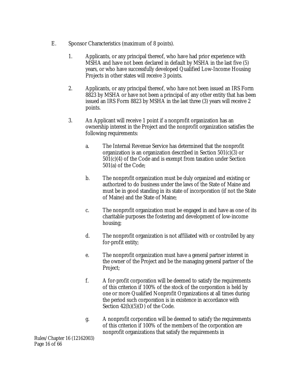- E. Sponsor Characteristics (maximum of 8 points).
	- 1. Applicants, or any principal thereof, who have had prior experience with MSHA and have not been declared in default by MSHA in the last five (5) years, or who have successfully developed Qualified Low-Income Housing Projects in other states will receive 3 points.
	- 2. Applicants, or any principal thereof, who have not been issued an IRS Form 8823 by MSHA or have not been a principal of any other entity that has been issued an IRS Form 8823 by MSHA in the last three (3) years will receive 2 points.
	- 3. An Applicant will receive 1 point if a nonprofit organization has an ownership interest in the Project and the nonprofit organization satisfies the following requirements:
		- a. The Internal Revenue Service has determined that the nonprofit organization is an organization described in Section 501(c)(3) or 501(c)(4) of the Code and is exempt from taxation under Section 501(a) of the Code;
		- b. The nonprofit organization must be duly organized and existing or authorized to do business under the laws of the State of Maine and must be in good standing in its state of incorporation (if not the State of Maine) and the State of Maine;
		- c. The nonprofit organization must be engaged in and have as one of its charitable purposes the fostering and development of low-income housing;
		- d. The nonprofit organization is not affiliated with or controlled by any for-profit entity;
		- e. The nonprofit organization must have a general partner interest in the owner of the Project and be the managing general partner of the Project;
		- f. A for-profit corporation will be deemed to satisfy the requirements of this criterion if 100% of the stock of the corporation is held by one or more Qualified Nonprofit Organizations at all times during the period such corporation is in existence in accordance with Section  $42(h)(5)(D)$  of the Code.
		- g. A nonprofit corporation will be deemed to satisfy the requirements of this criterion if 100% of the members of the corporation are nonprofit organizations that satisfy the requirements in

Rules/Chapter 16 (12162003) Page 16 of 66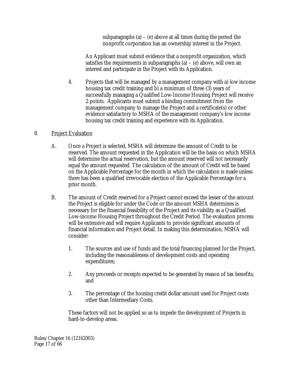subparagraphs (a) – (e) above at all times during the period the nonprofit corporation has an ownership interest in the Project.

An Applicant must submit evidence that a nonprofit organization, which satisfies the requirements in subparagraphs  $(a) - (e)$  above, will own an interest and participate in the Project with its Application.

4. Projects that will be managed by a management company with a) low income housing tax credit training and b) a minimum of three (3) years of successfully managing a Qualified Low-Income Housing Project will receive 2 points. Applicants must submit a binding commitment from the management company to manage the Project and a certificate(s) or other evidence satisfactory to MSHA of the management company's low income housing tax credit training and experience with its Application.

## 8. Project Evaluation

- A. Once a Project is selected, MSHA will determine the amount of Credit to be reserved. The amount requested in the Application will be the basis on which MSHA will determine the actual reservation, but the amount reserved will not necessarily equal the amount requested. The calculation of the amount of Credit will be based on the Applicable Percentage for the month in which the calculation is made unless there has been a qualified irrevocable election of the Applicable Percentage for a prior month.
- B. The amount of Credit reserved for a Project cannot exceed the lesser of the amount the Project is eligible for under the Code or the amount MSHA determines is necessary for the financial feasibility of the Project and its viability as a Qualified Low-income Housing Project throughout the Credit Period. The evaluation process will be extensive and will require Applicants to provide significant amounts of financial information and Project detail. In making this determination, MSHA will consider:
	- 1. The sources and use of funds and the total financing planned for the Project, including the reasonableness of development costs and operating expenditures;
	- 2. Any proceeds or receipts expected to be generated by reason of tax benefits; and
	- 3. The percentage of the housing credit dollar amount used for Project costs other than Intermediary Costs.

These factors will not be applied so as to impede the development of Projects in hard-to-develop areas.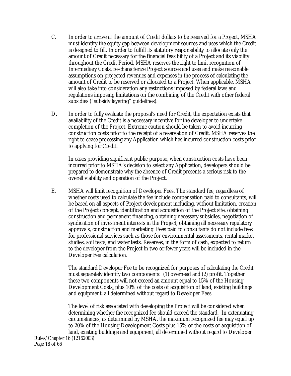- C. In order to arrive at the amount of Credit dollars to be reserved for a Project, MSHA must identify the equity gap between development sources and uses which the Credit is designed to fill. In order to fulfill its statutory responsibility to allocate only the amount of Credit necessary for the financial feasibility of a Project and its viability throughout the Credit Period, MSHA reserves the right to limit recognition of Intermediary Costs, re-characterize Project sources and uses and make reasonable assumptions on projected revenues and expenses in the process of calculating the amount of Credit to be reserved or allocated to a Project. When applicable, MSHA will also take into consideration any restrictions imposed by federal laws and regulations imposing limitations on the combining of the Credit with other federal subsidies ("subsidy layering" guidelines).
- D. In order to fully evaluate the proposal's need for Credit, the expectation exists that availability of the Credit is a necessary incentive for the developer to undertake completion of the Project. Extreme caution should be taken to avoid incurring construction costs prior to the receipt of a reservation of Credit. MSHA reserves the right to cease processing any Application which has incurred construction costs prior to applying for Credit.

In cases providing significant public purpose, when construction costs have been incurred prior to MSHA's decision to select any Application, developers should be prepared to demonstrate why the absence of Credit presents a serious risk to the overall viability and operation of the Project.

E. MSHA will limit recognition of Developer Fees. The standard fee, regardless of whether costs used to calculate the fee include compensation paid to consultants, will be based on all aspects of Project development including, without limitation, creation of the Project concept, identification and acquisition of the Project site, obtaining construction and permanent financing, obtaining necessary subsidies, negotiation of syndication of investment interests in the Project, obtaining all necessary regulatory approvals, construction and marketing. Fees paid to consultants do not include fees for professional services such as those for environmental assessments, rental market studies, soil tests, and water tests. Reserves, in the form of cash, expected to return to the developer from the Project in two or fewer years will be included in the Developer Fee calculation.

The standard Developer Fee to be recognized for purposes of calculating the Credit must separately identify two components: (1) overhead and (2) profit. Together these two components will not exceed an amount equal to 15% of the Housing Development Costs, plus 10% of the costs of acquisition of land, existing buildings and equipment, all determined without regard to Developer Fees.

The level of risk associated with developing the Project will be considered when determining whether the recognized fee should exceed the standard. In extenuating circumstances, as determined by MSHA, the maximum recognized fee may equal up to 20% of the Housing Development Costs plus 15% of the costs of acquisition of land, existing buildings and equipment, all determined without regard to Developer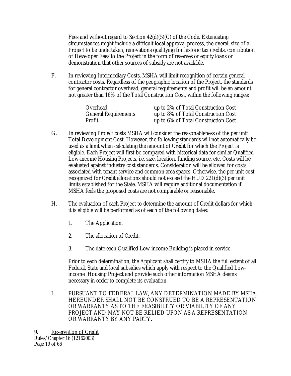Fees and without regard to Section 42(d)(5)(C) of the Code. Extenuating circumstances might include a difficult local approval process, the overall size of a Project to be undertaken, renovations qualifying for historic tax credits, contribution of Developer Fees to the Project in the form of reserves or equity loans or demonstration that other sources of subsidy are not available.

F. In reviewing Intermediary Costs, MSHA will limit recognition of certain general contractor costs. Regardless of the geographic location of the Project, the standards for general contractor overhead, general requirements and profit will be an amount not greater than 16% of the Total Construction Cost, within the following ranges:

| Overhead                    | up to 2% of Total Construction Cost |
|-----------------------------|-------------------------------------|
| <b>General Requirements</b> | up to 8% of Total Construction Cost |
| Profit                      | up to 6% of Total Construction Cost |

- G. In reviewing Project costs MSHA will consider the reasonableness of the per unit Total Development Cost. However, the following standards will not automatically be used as a limit when calculating the amount of Credit for which the Project is eligible. Each Project will first be compared with historical data for similar Qualified Low-income Housing Projects, i.e. size, location, funding source, etc. Costs will be evaluated against industry cost standards. Consideration will be allowed for costs associated with tenant service and common area spaces. Otherwise, the per unit cost recognized for Credit allocations should not exceed the HUD 221(d)(3) per unit limits established for the State. MSHA will require additional documentation if MSHA feels the proposed costs are not comparable or reasonable.
- H. The evaluation of each Project to determine the amount of Credit dollars for which it is eligible will be performed as of each of the following dates:
	- 1. The Application.
	- 2. The allocation of Credit.
	- 3. The date each Qualified Low-income Building is placed in service.

Prior to each determination, the Applicant shall certify to MSHA the full extent of all Federal, State and local subsidies which apply with respect to the Qualified Lowincome Housing Project and provide such other information MSHA deems necessary in order to complete its evaluation.

I. PURSUANT TO FEDERAL LAW, ANY DETERMINATION MADE BY MSHA HEREUNDER SHALL NOT BE CONSTRUED TO BE A REPRESENTATION OR WARRANTY AS TO THE FEASIBILITY OR VIABILITY OF ANY PROJECT AND MAY NOT BE RELIED UPON AS A REPRESENTATION OR WARRANTY BY ANY PARTY.

Rules/Chapter 16 (12162003) Page 19 of 66 9. Reservation of Credit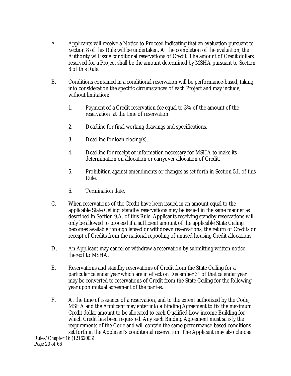- A. Applicants will receive a Notice to Proceed indicating that an evaluation pursuant to Section 8 of this Rule will be undertaken. At the completion of the evaluation, the Authority will issue conditional reservations of Credit. The amount of Credit dollars reserved for a Project shall be the amount determined by MSHA pursuant to Section 8 of this Rule.
- B. Conditions contained in a conditional reservation will be performance-based, taking into consideration the specific circumstances of each Project and may include, without limitation:
	- 1. Payment of a Credit reservation fee equal to 3% of the amount of the reservation at the time of reservation.
	- 2. Deadline for final working drawings and specifications.
	- 3. Deadline for loan closing(s).
	- 4. Deadline for receipt of information necessary for MSHA to make its determination on allocation or carryover allocation of Credit.
	- 5. Prohibition against amendments or changes as set forth in Section 5.I. of this Rule.
	- 6. Termination date.
- C. When reservations of the Credit have been issued in an amount equal to the applicable State Ceiling, standby reservations may be issued in the same manner as described in Section 9.A. of this Rule. Applicants receiving standby reservations will only be allowed to proceed if a sufficient amount of the applicable State Ceiling becomes available through lapsed or withdrawn reservations, the return of Credits or receipt of Credits from the national repooling of unused housing Credit allocations.
- D. An Applicant may cancel or withdraw a reservation by submitting written notice thereof to MSHA.
- E. Reservations and standby reservations of Credit from the State Ceiling for a particular calendar year which are in effect on December 31 of that calendar year may be converted to reservations of Credit from the State Ceiling for the following year upon mutual agreement of the parties.
- F. At the time of issuance of a reservation, and to the extent authorized by the Code, MSHA and the Applicant may enter into a Binding Agreement to fix the maximum Credit dollar amount to be allocated to each Qualified Low-income Building for which Credit has been requested. Any such Binding Agreement must satisfy the requirements of the Code and will contain the same performance-based conditions set forth in the Applicant's conditional reservation. The Applicant may also choose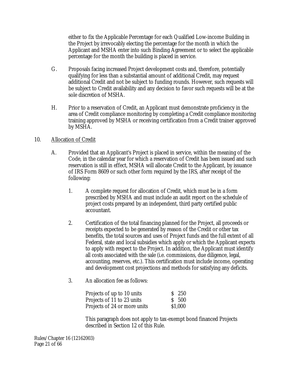either to fix the Applicable Percentage for each Qualified Low-income Building in the Project by irrevocably electing the percentage for the month in which the Applicant and MSHA enter into such Binding Agreement or to select the applicable percentage for the month the building is placed in service.

- G. Proposals facing increased Project development costs and, therefore, potentially qualifying for less than a substantial amount of additional Credit, may request additional Credit and not be subject to funding rounds. However, such requests will be subject to Credit availability and any decision to favor such requests will be at the sole discretion of MSHA.
- H. Prior to a reservation of Credit, an Applicant must demonstrate proficiency in the area of Credit compliance monitoring by completing a Credit compliance monitoring training approved by MSHA or receiving certification from a Credit trainer approved by MSHA.

# 10. Allocation of Credit

- A. Provided that an Applicant's Project is placed in service, within the meaning of the Code, in the calendar year for which a reservation of Credit has been issued and such reservation is still in effect, MSHA will allocate Credit to the Applicant, by issuance of IRS Form 8609 or such other form required by the IRS, after receipt of the following:
	- 1. A complete request for allocation of Credit, which must be in a form prescribed by MSHA and must include an audit report on the schedule of project costs prepared by an independent, third party certified public accountant.
	- 2. Certification of the total financing planned for the Project, all proceeds or receipts expected to be generated by reason of the Credit or other tax benefits, the total sources and uses of Project funds and the full extent of all Federal, state and local subsidies which apply or which the Applicant expects to apply with respect to the Project. In addition, the Applicant must identify all costs associated with the sale (i.e. commissions, due diligence, legal, accounting, reserves, etc.). This certification must include income, operating and development cost projections and methods for satisfying any deficits.
	- 3. An allocation fee as follows:

| Projects of up to 10 units   | $S$ 250 |
|------------------------------|---------|
| Projects of 11 to 23 units   | S 500   |
| Projects of 24 or more units | \$1,000 |

This paragraph does not apply to tax-exempt bond financed Projects described in Section 12 of this Rule.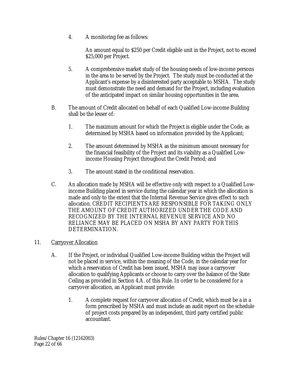4. A monitoring fee as follows:

An amount equal to \$250 per Credit eligible unit in the Project, not to exceed \$25,000 per Project.

- 5. A comprehensive market study of the housing needs of low-income persons in the area to be served by the Project. The study must be conducted at the Applicant's expense by a disinterested party acceptable to MSHA. The study must demonstrate the need and demand for the Project, including evaluation of the anticipated impact on similar housing opportunities in the area.
- B. The amount of Credit allocated on behalf of each Qualified Low-income Building shall be the lesser of:
	- 1. The maximum amount for which the Project is eligible under the Code, as determined by MSHA based on information provided by the Applicant;
	- 2. The amount determined by MSHA as the minimum amount necessary for the financial feasibility of the Project and its viability as a Qualified Lowincome Housing Project throughout the Credit Period; and
	- 3. The amount stated in the conditional reservation.
- C. An allocation made by MSHA will be effective only with respect to a Qualified Lowincome Building placed in service during the calendar year in which the allocation is made and only to the extent that the Internal Revenue Service gives effect to such allocation. CREDIT RECIPIENTS ARE RESPONSIBLE FOR TAKING ONLY THE AMOUNT OF CREDIT AUTHORIZED UNDER THE CODE AND RECOGNIZED BY THE INTERNAL REVENUE SERVICE AND NO RELIANCE MAY BE PLACED ON MSHA BY ANY PARTY FOR THIS DETERMINATION.

## 11. Carryover Allocation

- A. If the Project, or individual Qualified Low-income Building within the Project will not be placed in service, within the meaning of the Code, in the calendar year for which a reservation of Credit has been issued, MSHA may issue a carryover allocation to qualifying Applicants or choose to carry over the balance of the State Ceiling as provided in Section 4.A. of this Rule. In order to be considered for a carryover allocation, an Applicant must provide:
	- 1. A complete request for carryover allocation of Credit, which must be a in a form prescribed by MSHA and must include an audit report on the schedule of project costs prepared by an independent, third party certified public accountant.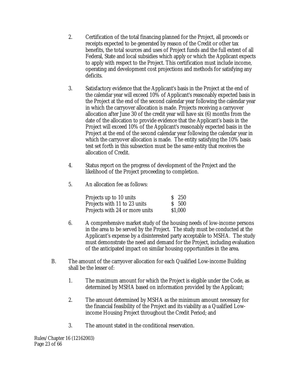- 2. Certification of the total financing planned for the Project, all proceeds or receipts expected to be generated by reason of the Credit or other tax benefits, the total sources and uses of Project funds and the full extent of all Federal, State and local subsidies which apply or which the Applicant expects to apply with respect to the Project. This certification must include income, operating and development cost projections and methods for satisfying any deficits.
- 3. Satisfactory evidence that the Applicant's basis in the Project at the end of the calendar year will exceed 10% of Applicant's reasonably expected basis in the Project at the end of the second calendar year following the calendar year in which the carryover allocation is made. Projects receiving a carryover allocation after June 30 of the credit year will have six (6) months from the date of the allocation to provide evidence that the Applicant's basis in the Project will exceed 10% of the Applicant's reasonably expected basis in the Project at the end of the second calendar year following the calendar year in which the carryover allocation is made. The entity satisfying the 10% basis test set forth in this subsection must be the same entity that receives the allocation of Credit.
- 4. Status report on the progress of development of the Project and the likelihood of the Project proceeding to completion.
- 5. An allocation fee as follows:

| Projects up to 10 units        | $S$ 250 |
|--------------------------------|---------|
| Projects with 11 to 23 units   | S 500   |
| Projects with 24 or more units | \$1,000 |

- 6. A comprehensive market study of the housing needs of low-income persons in the area to be served by the Project. The study must be conducted at the Applicant's expense by a disinterested party acceptable to MSHA. The study must demonstrate the need and demand for the Project, including evaluation of the anticipated impact on similar housing opportunities in the area.
- B. The amount of the carryover allocation for each Qualified Low-income Building shall be the lesser of:
	- 1. The maximum amount for which the Project is eligible under the Code, as determined by MSHA based on information provided by the Applicant;
	- 2. The amount determined by MSHA as the minimum amount necessary for the financial feasibility of the Project and its viability as a Qualified Lowincome Housing Project throughout the Credit Period; and
	- 3. The amount stated in the conditional reservation.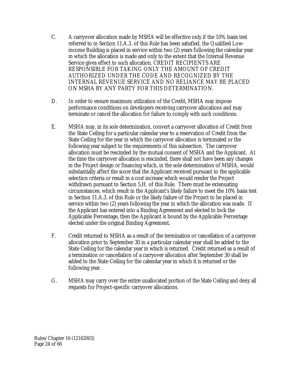- C. A carryover allocation made by MSHA will be effective only if the 10% basis test referred to in Section 11.A.3. of this Rule has been satisfied, the Qualified Lowincome Building is placed in service within two (2) years following the calendar year in which the allocation is made and only to the extent that the Internal Revenue Service gives effect to such allocation. CREDIT RECIPIENTS ARE RESPONSIBLE FOR TAKING ONLY THE AMOUNT OF CREDIT AUTHORIZED UNDER THE CODE AND RECOGNIZED BY THE INTERNAL REVENUE SERVICE AND NO RELIANCE MAY BE PLACED ON MSHA BY ANY PARTY FOR THIS DETERMINATION.
- D. In order to ensure maximum utilization of the Credit, MSHA may impose performance conditions on developers receiving carryover allocations and may terminate or cancel the allocation for failure to comply with such conditions.
- E. MSHA may, in its sole determination, convert a carryover allocation of Credit from the State Ceiling for a particular calendar year to a reservation of Credit from the State Ceiling for the year in which the carryover allocation is terminated or the following year subject to the requirements of this subsection. The carryover allocation must be rescinded by the mutual consent of MSHA and the Applicant. At the time the carryover allocation is rescinded, there shall not have been any changes in the Project design or financing which, in the sole determination of MSHA, would substantially affect the score that the Applicant received pursuant to the applicable selection criteria or result in a cost increase which would render the Project withdrawn pursuant to Section 5.H. of this Rule. There must be extenuating circumstances, which result in the Applicant's likely failure to meet the 10% basis test in Section 11.A.3. of this Rule or the likely failure of the Project to be placed in service within two (2) years following the year in which the allocation was made. If the Applicant has entered into a Binding Agreement and elected to lock the Applicable Percentage, then the Applicant is bound by the Applicable Percentage elected under the original Binding Agreement.
- F. Credit returned to MSHA as a result of the termination or cancellation of a carryover allocation prior to September 30 in a particular calendar year shall be added to the State Ceiling for the calendar year in which is returned. Credit returned as a result of a termination or cancellation of a carryover allocation after September 30 shall be added to the State Ceiling for the calendar year in which it is returned or the following year.
- G. MSHA may carry over the entire unallocated portion of the State Ceiling and deny all requests for Project-specific carryover allocations.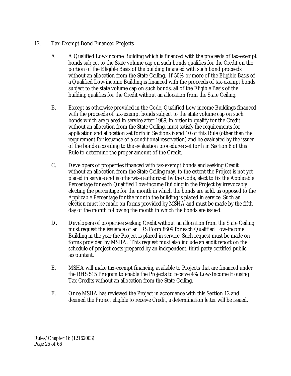# 12. Tax-Exempt Bond Financed Projects

- A. A Qualified Low-income Building which is financed with the proceeds of tax-exempt bonds subject to the State volume cap on such bonds qualifies for the Credit on the portion of the Eligible Basis of the building financed with such bond proceeds without an allocation from the State Ceiling. If 50% or more of the Eligible Basis of a Qualified Low-income Building is financed with the proceeds of tax-exempt bonds subject to the state volume cap on such bonds, all of the Eligible Basis of the building qualifies for the Credit without an allocation from the State Ceiling.
- B. Except as otherwise provided in the Code, Qualified Low-income Buildings financed with the proceeds of tax-exempt bonds subject to the state volume cap on such bonds which are placed in service after 1989, in order to qualify for the Credit without an allocation from the State Ceiling, must satisfy the requirements for application and allocation set forth in Sections 6 and 10 of this Rule (other than the requirement for issuance of a conditional reservation) and be evaluated by the issuer of the bonds according to the evaluation procedures set forth in Section 8 of this Rule to determine the proper amount of the Credit.
- C. Developers of properties financed with tax-exempt bonds and seeking Credit without an allocation from the State Ceiling may, to the extent the Project is not yet placed in service and is otherwise authorized by the Code, elect to fix the Applicable Percentage for each Qualified Low-income Building in the Project by irrevocably electing the percentage for the month in which the bonds are sold, as opposed to the Applicable Percentage for the month the building is placed in service. Such an election must be made on forms provided by MSHA and must be made by the fifth day of the month following the month in which the bonds are issued.
- D. Developers of properties seeking Credit without an allocation from the State Ceiling must request the issuance of an IRS Form 8609 for each Qualified Low-income Building in the year the Project is placed in service. Such request must be made on forms provided by MSHA. This request must also include an audit report on the schedule of project costs prepared by an independent, third party certified public accountant.
- E. MSHA will make tax-exempt financing available to Projects that are financed under the RHS 515 Program to enable the Projects to receive 4% Low-Income Housing Tax Credits without an allocation from the State Ceiling.
- F. Once MSHA has reviewed the Project in accordance with this Section 12 and deemed the Project eligible to receive Credit, a determination letter will be issued.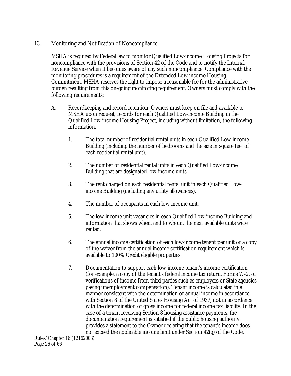## 13. Monitoring and Notification of Noncompliance

MSHA is required by Federal law to monitor Qualified Low-income Housing Projects for noncompliance with the provisions of Section 42 of the Code and to notify the Internal Revenue Service when it becomes aware of any such noncompliance. Compliance with the monitoring procedures is a requirement of the Extended Low-income Housing Commitment. MSHA reserves the right to impose a reasonable fee for the administrative burden resulting from this on-going monitoring requirement. Owners must comply with the following requirements:

- A. Recordkeeping and record retention. Owners must keep on file and available to MSHA upon request, records for each Qualified Low-income Building in the Qualified Low-income Housing Project, including without limitation, the following information.
	- 1. The total number of residential rental units in each Qualified Low-income Building (including the number of bedrooms and the size in square feet of each residential rental unit).
	- 2. The number of residential rental units in each Qualified Low-income Building that are designated low-income units.
	- 3. The rent charged on each residential rental unit in each Qualified Lowincome Building (including any utility allowances).
	- 4. The number of occupants in each low-income unit.
	- 5. The low-income unit vacancies in each Qualified Low-income Building and information that shows when, and to whom, the next available units were rented.
	- 6. The annual income certification of each low-income tenant per unit or a copy of the waiver from the annual income certification requirement which is available to 100% Credit eligible properties.
	- 7. Documentation to support each low-income tenant's income certification (for example, a copy of the tenant's federal income tax return, Forms W-2, or verifications of income from third parties such as employers or State agencies paying unemployment compensation). Tenant income is calculated in a manner consistent with the determination of annual income in accordance with Section 8 of the United States Housing Act of 1937, not in accordance with the determination of gross income for federal income tax liability. In the case of a tenant receiving Section 8 housing assistance payments, the documentation requirement is satisfied if the public housing authority provides a statement to the Owner declaring that the tenant's income does not exceed the applicable income limit under Section 42(g) of the Code.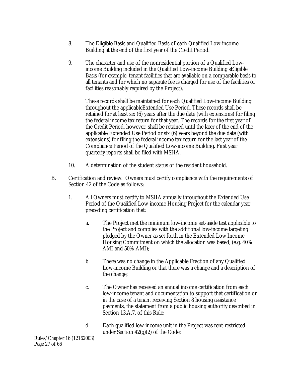- 8. The Eligible Basis and Qualified Basis of each Qualified Low-income Building at the end of the first year of the Credit Period.
- 9. The character and use of the nonresidential portion of a Qualified Lowincome Building included in the Qualified Low-income Building'sEligible Basis (for example, tenant facilities that are available on a comparable basis to all tenants and for which no separate fee is charged for use of the facilities or facilities reasonably required by the Project).

These records shall be maintained for each Qualified Low-income Building throughout the applicableExtended Use Period. These records shall be retained for at least six (6) years after the due date (with extensions) for filing the federal income tax return for that year. The records for the first year of the Credit Period, however, shall be retained until the later of the end of the applicable Extended Use Period or six (6) years beyond the due date (with extensions) for filing the federal income tax return for the last year of the Compliance Period of the Qualified Low-income Building. First year quarterly reports shall be filed with MSHA.

- 10. A determination of the student status of the resident household.
- B. Certification and review. Owners must certify compliance with the requirements of Section 42 of the Code as follows:
	- 1. All Owners must certify to MSHA annually throughout the Extended Use Period of the Qualified Low-income Housing Project for the calendar year preceding certification that:
		- a. The Project met the minimum low-income set-aside test applicable to the Project and complies with the additional low-income targeting pledged by the Owner as set forth in the Extended Low Income Housing Commitment on which the allocation was based, (e.g. 40% AMI and 50% AMI);
		- b. There was no change in the Applicable Fraction of any Qualified Low-income Building or that there was a change and a description of the change;
		- c. The Owner has received an annual income certification from each low-income tenant and documentation to support that certification or in the case of a tenant receiving Section 8 housing assistance payments, the statement from a public housing authority described in Section 13.A.7. of this Rule;
		- d. Each qualified low-income unit in the Project was rent-restricted under Section 42(g)(2) of the Code;

Rules/Chapter 16 (12162003) Page 27 of 66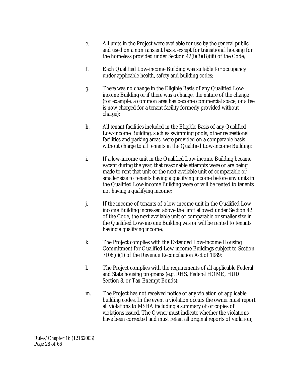- e. All units in the Project were available for use by the general public and used on a nontransient basis, except for transitional housing for the homeless provided under Section 42(i)(3)(B)(iii) of the Code;
- f. Each Qualified Low-income Building was suitable for occupancy under applicable health, safety and building codes;
- g. There was no change in the Eligible Basis of any Qualified Lowincome Building or if there was a change, the nature of the change (for example, a common area has become commercial space, or a fee is now charged for a tenant facility formerly provided without charge);
- h. All tenant facilities included in the Eligible Basis of any Qualified Low-income Building, such as swimming pools, other recreational facilities and parking areas, were provided on a comparable basis without charge to all tenants in the Qualified Low-income Building;
- i. If a low-income unit in the Qualified Low-income Building became vacant during the year, that reasonable attempts were or are being made to rent that unit or the next available unit of comparable or smaller size to tenants having a qualifying income before any units in the Qualified Low-income Building were or will be rented to tenants not having a qualifying income;
- j. If the income of tenants of a low-income unit in the Qualified Lowincome Building increased above the limit allowed under Section 42 of the Code, the next available unit of comparable or smaller size in the Qualified Low-income Building was or will be rented to tenants having a qualifying income;
- k. The Project complies with the Extended Low-income Housing Commitment for Qualified Low-income Buildings subject to Section 7108(c)(1) of the Revenue Reconciliation Act of 1989;
- l. The Project complies with the requirements of all applicable Federal and State housing programs (e.g. RHS, Federal HOME, HUD Section 8, or Tax-Exempt Bonds);
- m. The Project has not received notice of any violation of applicable building codes. In the event a violation occurs the owner must report all violations to MSHA including a summary of or copies of violations issued. The Owner must indicate whether the violations have been corrected and must retain all original reports of violation;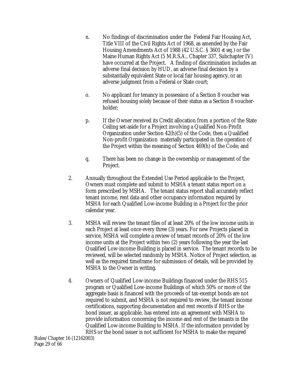- n. No findings of discrimination under the Federal Fair Housing Act, Title VIII of the Civil Rights Act of 1968, as amended by the Fair Housing Amendments Act of 1988 (42 U.S.C. § 3601 *et seq.*) or the Maine Human Rights Act (5 M.R.S.A., Chapter 337, Subchapter IV) have occurred at the Project. A finding of discrimination includes an adverse final decision by HUD, an adverse final decision by a substantially equivalent State or local fair housing agency, or an adverse judgment from a Federal or State court;
- o. No applicant for tenancy in possession of a Section 8 voucher was refused housing solely because of their status as a Section 8 voucherholder;
- p. If the Owner received its Credit allocation from a portion of the State Ceiling set-aside for a Project involving a Qualified Non-Profit Organization under Section 42(h)(5) of the Code, then a Qualified Non-profit Organization materially participated in the operation of the Project within the meaning of Section 469(h) of the Code; and
- q. There has been no change in the ownership or management of the Project.
- 2. Annually throughout the Extended Use Period applicable to the Project, Owners must complete and submit to MSHA a tenant status report on a form prescribed by MSHA. The tenant status report shall accurately reflect tenant income, rent data and other occupancy information required by MSHA for each Qualified Low-income Building in a Project for the prior calendar year.
- 3. MSHA will review the tenant files of at least 20% of the low income units in each Project at least once every three (3) years. For new Projects placed in service, MSHA will complete a review of tenant records of 20% of the low income units at the Project within two (2) years following the year the last Qualified Low-income Building is placed in service. The tenant records to be reviewed, will be selected randomly by MSHA. Notice of Project selection, as well as the required timeframe for submission of details, will be provided by MSHA to the Owner in writing.
- 4. Owners of Qualified Low-income Buildings financed under the RHS 515 program or Qualified Low-income Buildings of which 50% or more of the aggregate basis is financed with the proceeds of tax-exempt bonds are not required to submit, and MSHA is not required to review, the tenant income certifications, supporting documentation and rent records if RHS or the bond issuer, as applicable, has entered into an agreement with MSHA to provide information concerning the income and rent of the tenants in the Qualified Low-income Building to MSHA. If the information provided by RHS or the bond issuer is not sufficient for MSHA to make the required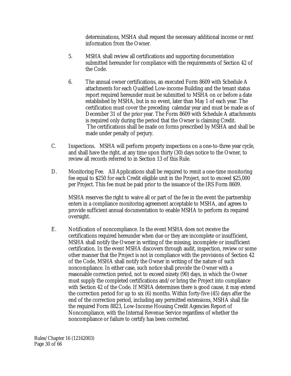determinations, MSHA shall request the necessary additional income or rent information from the Owner.

- 5. MSHA shall review all certifications and supporting documentation submitted hereunder for compliance with the requirements of Section 42 of the Code.
- 6. The annual owner certifications, an executed Form 8609 with Schedule A attachments for each Qualified Low-income Building and the tenant status report required hereunder must be submitted to MSHA on or before a date established by MSHA, but in no event, later than May 1 of each year. The certification must cover the preceding calendar year and must be made as of December 31 of the prior year. The Form 8609 with Schedule A attachments is required only during the period that the Owner is claiming Credit. The certifications shall be made on forms prescribed by MSHA and shall be made under penalty of perjury.
- C. Inspections. MSHA will perform property inspections on a one-to-three year cycle, and shall have the right, at any time upon thirty (30) days notice to the Owner, to review all records referred to in Section 13 of this Rule.
- D. Monitoring Fee. All Applications shall be required to remit a one-time monitoring fee equal to \$250 for each Credit eligible unit in the Project, not to exceed \$25,000 per Project. This fee must be paid prior to the issuance of the IRS Form 8609.

MSHA reserves the right to waive all or part of the fee in the event the partnership enters in a compliance monitoring agreement acceptable to MSHA, and agrees to provide sufficient annual documentation to enable MSHA to perform its required oversight.

E. Notification of noncompliance. In the event MSHA does not receive the certifications required hereunder when due or they are incomplete or insufficient, MSHA shall notify the Owner in writing of the missing, incomplete or insufficient certification. In the event MSHA discovers through audit, inspection, review or some other manner that the Project is not in compliance with the provisions of Section 42 of the Code, MSHA shall notify the Owner in writing of the nature of such noncompliance. In either case, such notice shall provide the Owner with a reasonable correction period, not to exceed ninety (90) days, in which the Owner must supply the completed certifications and/or bring the Project into compliance with Section 42 of the Code. If MSHA determines there is good cause, it may extend the correction period for up to six (6) months. Within forty-five (45) days after the end of the correction period, including any permitted extensions, MSHA shall file the required Form 8823, Low-Income Housing Credit Agencies Report of Noncompliance, with the Internal Revenue Service regardless of whether the noncompliance or failure to certify has been corrected.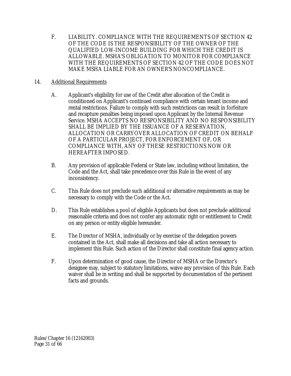F. LIABILITY. COMPLIANCE WITH THE REQUIREMENTS OF SECTION 42 OF THE CODE IS THE RESPONSIBILITY OF THE OWNER OF THE QUALIFIED LOW-INCOME BUILDING FOR WHICH THE CREDIT IS ALLOWABLE. MSHA'S OBLIGATION TO MONITOR FOR COMPLIANCE WITH THE REQUIREMENTS OF SECTION 42 OF THE CODE DOES NOT MAKE MSHA LIABLE FOR AN OWNER'S NONCOMPLIANCE.

# 14. Additional Requirements

- A. Applicant's eligibility for use of the Credit after allocation of the Credit is conditioned on Applicant's continued compliance with certain tenant income and rental restrictions. Failure to comply with such restrictions can result in forfeiture and recapture penalties being imposed upon Applicant by the Internal Revenue Service. MSHA ACCEPTS NO RESPONSIBILITY AND NO RESPONSIBILITY SHALL BE IMPLIED BY THE ISSUANCE OF A RESERVATION, ALLOCATION OR CARRYOVER ALLOCATION OF CREDIT ON BEHALF OF A PARTICULAR PROJECT, FOR ENFORCEMENT OF, OR COMPLIANCE WITH, ANY OF THESE RESTRICTIONS NOW OR HEREAFTER IMPOSED.
- B. Any provision of applicable Federal or State law, including without limitation, the Code and the Act, shall take precedence over this Rule in the event of any inconsistency.
- C. This Rule does not preclude such additional or alternative requirements as may be necessary to comply with the Code or the Act.
- D. This Rule establishes a pool of eligible Applicants but does not preclude additional reasonable criteria and does not confer any automatic right or entitlement to Credit on any person or entity eligible hereunder.
- E. The Director of MSHA, individually or by exercise of the delegation powers contained in the Act, shall make all decisions and take all action necessary to implement this Rule. Such action of the Director shall constitute final agency action.
- F. Upon determination of good cause, the Director of MSHA or the Director's designee may, subject to statutory limitations, waive any provision of this Rule. Each waiver shall be in writing and shall be supported by documentation of the pertinent facts and grounds.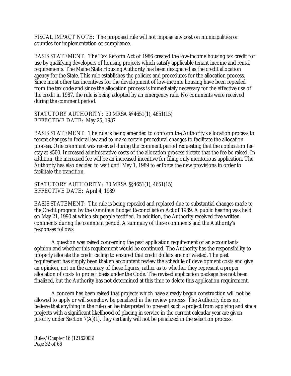FISCAL IMPACT NOTE: The proposed rule will not impose any cost on municipalities or counties for implementation or compliance.

BASIS STATEMENT: The Tax Reform Act of 1986 created the low-income housing tax credit for use by qualifying developers of housing projects which satisfy applicable tenant income and rental requirements. The Maine State Housing Authority has been designated as the credit allocation agency for the State. This rule establishes the policies and procedures for the allocation process. Since most other tax incentives for the development of low-income housing have been repealed from the tax code and since the allocation process is immediately necessary for the effective use of the credit in 1987, the rule is being adopted by an emergency rule. No comments were received during the comment period.

#### STATUTORY AUTHORITY: 30 MRSA §§4651(1), 4651(15) EFFECTIVE DATE: May 25, 1987

BASIS STATEMENT: The rule is being amended to conform the Authority's allocation process to recent changes in federal law and to make certain procedural changes to facilitate the allocation process. One comment was received during the comment period requesting that the application fee stay at \$500. Increased administrative costs of the allocation process dictate that the fee be raised. In addition, the increased fee will be an increased incentive for filing only meritorious application. The Authority has also decided to wait until May 1, 1989 to enforce the new provisions in order to facilitate the transition.

STATUTORY AUTHORITY; 30 MRSA §§4651(1), 4651(15) EFFECTIVE DATE: April 4, 1989

BASIS STATEMENT: The rule is being repealed and replaced due to substantial changes made to the Credit program by the Omnibus Budget Reconciliation Act of 1989. A public hearing was held on May 21, 1990 at which six people testified. In addition, the Authority received five written comments during the comment period. A summary of these comments and the Authority's responses follows.

A question was raised concerning the past application requirement of an accountants opinion and whether this requirement would be continued. The Authority has the responsibility to properly allocate the credit ceiling to ensured that credit dollars are not wasted. The past requirement has simply been that an accountant review the schedule of development costs and give an opinion, not on the accuracy of these figures, rather as to whether they represent a proper allocation of costs to project basis under the Code. The revised application package has not been finalized, but the Authority has not determined at this time to delete this application requirement.

A concern has been raised that projects which have already begun construction will not be allowed to apply or will somehow be penalized in the review process. The Authority does not believe that anything in the rule can be interpreted to prevent such a project from applying and since projects with a significant likelihood of placing in service in the current calendar year are given priority under Section 7(A)(1), they certainly will not be penalized in the selection process.

Rules/Chapter 16 (12162003) Page 32 of 66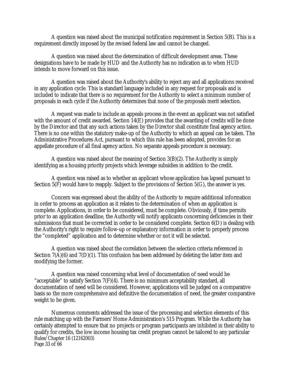A question was raised about the municipal notification requirement in Section 5(B). This is a requirement directly imposed by the revised federal law and cannot be changed.

A question was raised about the determination of difficult development areas. These designations have to be made by HUD and the Authority has no indication as to when HUD intends to move forward on this issue.

A question was raised about the Authority's ability to reject any and all applications received in any application cycle. This is standard language included in any request for proposals and is included to indicate that there is no requirement for the Authority to select a minimum number of proposals in each cycle if the Authority determines that none of the proposals merit selection.

A request was made to include an appeals process in the event an applicant was not satisfied with the amount of credit awarded. Section 14(E) provides that the awarding of credits will be done by the Director and that any such actions taken by the Director shall constitute final agency action. There is no one within the statutory make-up of the Authority to which an appeal can be taken. The Administrative Procedures Act, pursuant to which this rule has been adopted, provides for an appellate procedure of all final agency action. No separate appeals procedure is necessary.

A question was raised about the meaning of Section 3(B)(2). The Authority is simply identifying as a housing priority projects which leverage subsidies in addition to the credit.

A question was raised as to whether an applicant whose application has lapsed pursuant to Section 5(F) would have to reapply. Subject to the provisions of Section 5(G), the answer is yes.

Concern was expressed about the ability of the Authority to require additional information in order to process an application as it relates to the determination of when an application is complete. Applications, in order to be considered, must be complete. Obviously, if time permits prior to an application deadline, the Authority will notify applicants concerning deficiencies in their submissions that must be corrected in order to be considered complete. Section 6(D) is dealing with the Authority's right to require follow-up or explanatory information in order to properly process the "completed" application and to determine whether or not it will be selected.

A question was raised about the correlation between the selection criteria referenced in Section 7(A)(6) and 7(D)(1). This confusion has been addressed by deleting the latter item and modifying the former.

A question was raised concerning what level of documentation of need would be "acceptable" to satisfy Section 7(F)(4). There is no minimum acceptability standard, all documentation of need will be considered. However, applications will be judged on a comparative basis so the more comprehensive and definitive the documentation of need, the greater comparative weight to be given.

Rules/Chapter 16 (12162003) Page 33 of 66 Numerous comments addressed the issue of the processing and selection elements of this rule matching up with the Farmers' Home Administration's 515 Program. While the Authority has certainly attempted to ensure that no projects or program participants are inhibited in their ability to qualify for credits, the low income housing tax credit program cannot be tailored to any particular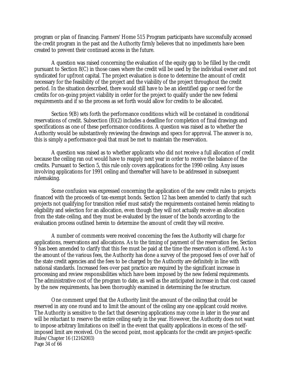program or plan of financing. Farmers' Home 515 Program participants have successfully accessed the credit program in the past and the Authority firmly believes that no impediments have been created to prevent their continued access in the future.

A question was raised concerning the evaluation of the equity gap to be filled by the credit pursuant to Section 8(C) in those cases where the credit will be used by the individual owner and not syndicated for upfront capital. The project evaluation is done to determine the amount of credit necessary for the feasibility of the project and the viability of the project throughout the credit period. In the situation described, there would still have to be an identified gap or need for the credits for on-going project viability in order for the project to qualify under the new federal requirements and if so the process as set forth would allow for credits to be allocated.

Section 9(B) sets forth the performance conditions which will be contained in conditional reservations of credit. Subsection (B)(2) includes a deadline for completion of final drawings and specifications as one of these performance conditions. A question was raised as to whether the Authority would be substantively reviewing the drawings and specs for approval. The answer is no, this is simply a performance goal that must be met to maintain the reservation.

A question was raised as to whether applicants who did not receive a full allocation of credit because the ceiling ran out would have to reapply next year in order to receive the balance of the credits. Pursuant to Section 5, this rule only covers applications for the 1990 ceiling. Any issues involving applications for 1991 ceiling and thereafter will have to be addressed in subsequent rulemaking.

Some confusion was expressed concerning the application of the new credit rules to projects financed with the proceeds of tax-exempt bonds. Section 12 has been amended to clarify that such projects not qualifying for transition relief must satisfy the requirements contained herein relating to eligibility and selection for an allocation, even though they will not actually receive an allocation from the state ceiling, and they must be evaluated by the issuer of the bonds according to the evaluation process outlined herein to determine the amount of credit they will receive.

A number of comments were received concerning the fees the Authority will charge for applications, reservations and allocations. As to the timing of payment of the reservation fee, Section 9 has been amended to clarify that this fee must be paid at the time the reservation is offered. As to the amount of the various fees, the Authority has done a survey of the proposed fees of over half of the state credit agencies and the fees to be charged by the Authority are definitely in line with national standards. Increased fees over past practice are required by the significant increase in processing and review responsibilities which have been imposed by the new federal requirements. The administrative cost of the program to date, as well as the anticipated increase in that cost caused by the new requirements, has been thoroughly examined in determining the fee structure.

Rules/Chapter 16 (12162003) Page 34 of 66 One comment urged that the Authority limit the amount of the ceiling that could be reserved in any one round and to limit the amount of the ceiling any one applicant could receive. The Authority is sensitive to the fact that deserving applications may come in later in the year and will be reluctant to reserve the entire ceiling early in the year. However, the Authority does not want to impose arbitrary limitations on itself in the event that quality applications in excess of the selfimposed limit are received. On the second point, most applicants for the credit are project-specific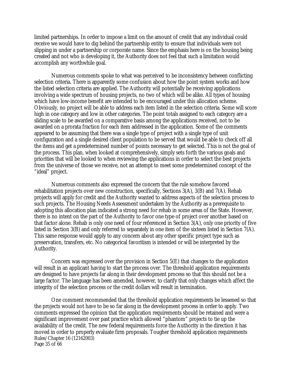limited partnerships. In order to impose a limit on the amount of credit that any individual could receive we would have to dig behind the partnership entity to ensure that individuals were not slipping in under a partnership or corporate name. Since the emphasis here is on the housing being created and not who is developing it, the Authority does not feel that such a limitation would accomplish any worthwhile goal.

Numerous comments spoke to what was perceived to be inconsistency between conflicting selection criteria. There is apparently some confusion about how the point system works and how the listed selection criteria are applied. The Authority will potentially be receiving applications involving a wide spectrum of housing projects, no two of which will be alike. All types of housing which have low-income benefit are intended to be encouraged under this allocation scheme. Obviously, no project will be able to address each item listed in the selection criteria. Some will score high in one category and low in other categories. The point totals assigned to each category are a sliding scale to be awarded on a comparative basis among the applications received, not to be awarded on a prorata fraction for each item addressed in the application. Some of the comments appeared to be assuming that there was a single type of project with a single type of unit configuration and a single desired client population to be served that would be able to check off all the items and get a predetermined number of points necessary to get selected. This is not the goal of the process. This plan, when looked at comprehensively, simply sets forth the various goals and priorities that will be looked to when reviewing the applications in order to select the best projects from the universe of those we receive, not an attempt to meet some predetermined concept of the "ideal" project.

Numerous comments also expressed the concern that the rule somehow favored rehabilitation projects over new construction, specifically, Sections 3(A), 3(B) and 7(A). Rehab projects will apply for credit and the Authority wanted to address aspects of the selection process to such projects. The Housing Needs Assessment undertaken by the Authority as a prerequisite to adopting this allocation plan indicated a strong need for rehab in some areas of the State. However, there is no intent on the part of the Authority to favor one type of project over another based on that factor alone. Rehab is only one need of four referenced in Section 3(A), only one priority of five listed in Section 3(B) and only referred to separately in one item of the sixteen listed in Section 7(A). This same response would apply to any concern about any other specific project type such as preservation, transfers, etc. No categorical favoritism is intended or will be interpreted by the Authority.

Concern was expressed over the provision in Section 5(E) that changes to the application will result in an applicant having to start the process over. The threshold application requirements are designed to have projects far along in their development process so that this should not be a large factor. The language has been amended, however, to clarify that only changes which affect the integrity of the selection process or the credit dollars will result in termination.

Rules/Chapter 16 (12162003) Page 35 of 66 One comment recommended that the threshold application requirements be lessened so that the projects would not have to be so far along in the development process in order to apply. Two comments expressed the opinion that the application requirements should be retained and were a significant improvement over past practice which allowed "phantom" projects to tie up the availability of the credit. The new federal requirements force the Authority in the direction it has moved in order to properly evaluate firm proposals. Tougher threshold application requirements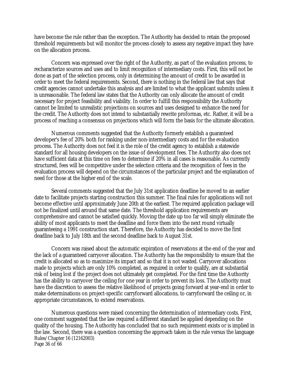have become the rule rather than the exception. The Authority has decided to retain the proposed threshold requirements but will monitor the process closely to assess any negative impact they have on the allocation process.

Concern was expressed over the right of the Authority, as part of the evaluation process, to recharacterize sources and uses and to limit recognition of intermediary costs. First, this will not be done as part of the selection process, only in determining the amount of credit to be awarded in order to meet the federal requirements. Second, there is nothing in the federal law that says that credit agencies cannot undertake this analysis and are limited to what the applicant submits unless it is unreasonable. The federal law states that the Authority can only allocate the amount of credit necessary for project feasibility and viability. In order to fulfill this responsibility the Authority cannot be limited to unrealistic projections on sources and uses designed to enhance the need for the credit. The Authority does not intend to substantially rewrite proformas, etc. Rather, it will be a process of reaching a consensus on projections which will form the basis for the ultimate allocation.

Numerous comments suggested that the Authority formerly establish a guaranteed developer's fee of 20% both for ranking under non-intermediary costs and for the evaluation process. The Authority does not feel it is the role of the credit agency to establish a statewide standard for all housing developers on the issue of development fees. The Authority also does not have sufficient data at this time on fees to determine if 20% in all cases is reasonable. As currently structured, fees will be competitive under the selection criteria and the recognition of fees in the evaluation process will depend on the circumstances of the particular project and the explanation of need for those at the higher end of the scale.

Several comments suggested that the July 31st application deadline be moved to an earlier date to facilitate projects starting construction this summer. The final rules for applications will not become effective until approximately June 20th at the earliest. The required application package will not be finalized until around that same date. The threshold application requirements are comprehensive and cannot be satisfied quickly. Moving the date up too far will simply eliminate the ability of most applicants to meet the deadline and force them into the next round virtually guaranteeing a 1991 construction start. Therefore, the Authority has decided to move the first deadline back to July 18th and the second deadline back to August 31st.

Concern was raised about the automatic expiration of reservations at the end of the year and the lack of a guaranteed carryover allocation. The Authority has the responsibility to ensure that the credit is allocated so as to maximize its impact and so that it is not wasted. Carryover allocations made to projects which are only 10% completed, as required in order to qualify, are at substantial risk of being lost if the project does not ultimately get completed. For the first time the Authority has the ability to carryover the ceiling for one year in order to prevent its loss. The Authority must have the discretion to assess the relative likelihood of projects going forward at year-end in order to make determinations on project-specific carryforward allocations, to carryforward the ceiling or, in appropriate circumstances, to extend reservations.

Rules/Chapter 16 (12162003) Page 36 of 66 Numerous questions were raised concerning the determination of intermediary costs. First, one comment suggested that the law required a different standard be applied depending on the quality of the housing. The Authority has concluded that no such requirement exists or is implied in the law. Second, there was a question concerning the approach taken in the rule versus the language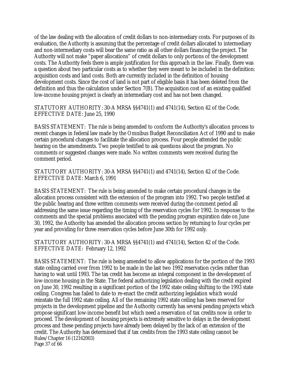of the law dealing with the allocation of credit dollars to non-intermediary costs. For purposes of its evaluation, the Authority is assuming that the percentage of credit dollars allocated to intermediary and non-intermediary costs will bear the same ratio as all other dollars financing the project. The Authority will not make "paper allocations" of credit dollars to only portions of the development costs. The Authority feels there is ample justification for this approach in the law. Finally, there was a question about two particular costs as to whether they were meant to be included in the definition: acquisition costs and land costs. Both are currently included in the definition of housing development costs. Since the cost of land is not part of eligible basis it has been deleted from the definition and thus the calculation under Section 7(B). The acquisition cost of an existing qualified low-income housing project is clearly an intermediary cost and has not been changed.

STATUTORY AUTHORITY: 30-A MRSA §§4741(1) and 4741(14), Section 42 of the Code. EFFECTIVE DATE: June 25, 1990

BASIS STATEMENT: The rule is being amended to conform the Authority's allocation process to recent changes in federal law made by the Omnibus Budget Reconciliation Act of 1990 and to make certain procedural changes to facilitate the allocation process. Four people attended the public hearing on the amendments. Two people testified to ask questions about the program. No comments or suggested changes were made. No written comments were received during the comment period.

STATUTORY AUTHORITY: 30-A MRSA §§4741(1) and 4741(14), Section 42 of the Code. EFFECTIVE DATE: March 6, 1991

BASIS STATEMENT: The rule is being amended to make certain procedural changes in the allocation process consistent with the extension of the program into 1992. Two people testified at the public hearing and three written comments were received during the comment period all addressing the same issue regarding the timing of the reservation cycles for 1992. In response to the comments and the special problems associated with the pending program expiration date on June 30, 1992, the Authority has amended the allocation process section by returning to four cycles per year and providing for three reservation cycles before June 30th for 1992 only.

STATUTORY AUTHORITY: 30-A MRSA §§4741(1) and 4741(14), Section 42 of the Code. EFFECTIVE DATE: February 12, 1992

Rules/Chapter 16 (12162003) Page 37 of 66 BASIS STATEMENT: The rule is being amended to allow applications for the portion of the 1993 state ceiling carried over from 1992 to be made in the last two 1992 reservation cycles rather than having to wait until 1993. The tax credit has become an integral component in the development of low-income housing in the State. The federal authorizing legislation dealing with the credit expired on June 30, 1992 resulting in a significant portion of the 1992 state ceiling shifting to the 1993 state ceiling. Congress has failed to date to re-enact the credit authorizing legislation which would reinstate the full 1992 state ceiling. All of the remaining 1992 state ceiling has been reserved for projects in the development pipeline and the Authority currently has several pending projects which propose significant low-income benefit but which need a reservation of tax credits now in order to proceed. The development of housing projects is extremely sensitive to delays in the development process and these pending projects have already been delayed by the lack of an extension of the credit. The Authority has determined that if tax credits from the 1993 state ceiling cannot be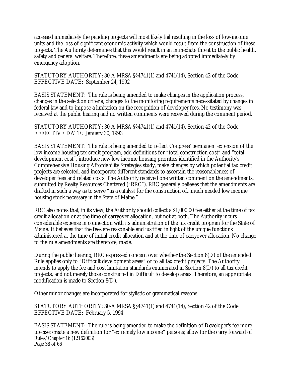accessed immediately the pending projects will most likely fail resulting in the loss of low-income units and the loss of significant economic activity which would result from the construction of these projects. The Authority determines that this would result in an immediate threat to the public health, safety and general welfare. Therefore, these amendments are being adopted immediately by emergency adoption.

STATUTORY AUTHORITY: 30-A MRSA §§4741(1) and 4741(14), Section 42 of the Code. EFFECTIVE DATE: September 24, 1992

BASIS STATEMENT: The rule is being amended to make changes in the application process, changes in the selection criteria, changes to the monitoring requirements necessitated by changes in federal law and to impose a limitation on the recognition of developer fees. No testimony was received at the public hearing and no written comments were received during the comment period.

STATUTORY AUTHORITY: 30-A MRSA §§4741(1) and 4741(14), Section 42 of the Code. EFFECTIVE DATE: January 30, 1993

BASIS STATEMENT: The rule is being amended to reflect Congress' permanent extension of the low income housing tax credit program, add definitions for "total construction cost" and "total development cost", introduce new low income housing priorities identified in the Authority's Comprehensive Housing Affordability Strategies study, make changes by which potential tax credit projects are selected, and incorporate different standards to ascertain the reasonableness of developer fees and related costs. The Authority received one written comment on the amendments, submitted by Realty Resources Chartered ("RRC"). RRC generally believes that the amendments are drafted in such a way as to serve "as a catalyst for the construction of...much needed low income housing stock necessary in the State of Maine."

RRC also notes that, in its view, the Authority should collect a \$1,000.00 fee either at the time of tax credit allocation or at the time of carryover allocation, but not at both. The Authority incurs considerable expense in connection with its administration of the tax credit program for the State of Maine. It believes that the fees are reasonable and justified in light of the unique functions administered at the time of initial credit allocation and at the time of carryover allocation. No change to the rule amendments are therefore, made.

During the public hearing, RRC expressed concern over whether the Section 8(D) of the amended Rule applies only to "Difficult development areas" or to all tax credit projects. The Authority intends to apply the fee and cost limitation standards enumerated in Section 8(D) to all tax credit projects, and not merely those constructed in Difficult to develop areas. Therefore, an appropriate modification is made to Section 8(D).

Other minor changes are incorporated for stylistic or grammatical reasons.

STATUTORY AUTHORITY: 30-A MRSA §§4741(1) and 4741(14), Section 42 of the Code. EFFECTIVE DATE: February 5, 1994

Rules/Chapter 16 (12162003) Page 38 of 66 BASIS STATEMENT: The rule is being amended to make the definition of Developer's fee more precise; create a new definition for "extremely low income" persons; allow for the carry forward of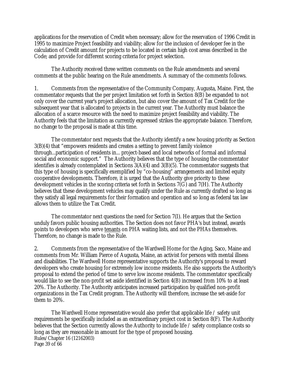applications for the reservation of Credit when necessary; allow for the reservation of 1996 Credit in 1995 to maximize Project feasibility and viability; allow for the inclusion of developer fee in the calculation of Credit amount for projects to be located in certain high cost areas described in the Code; and provide for different scoring criteria for project selection.

The Authority received three written comments on the Rule amendments and several comments at the public hearing on the Rule amendments. A summary of the comments follows.

1. Comments from the representative of the Community Company, Augusta, Maine. First, the commentator requests that the per project limitation set forth in Section 8(B) be expanded to not only cover the current year's project allocation, but also cover the amount of Tax Credit for the subsequent year that is allocated to projects in the current year. The Authority must balance the allocation of a scarce resource with the need to maximize project feasibility and viability. The Authority feels that the limitation as currently expressed strikes the appropriate balance. Therefore, no change to the proposal is made at this time.

The commentator next requests that the Authority identify a new housing priority as Section 3(B)(4) that "empowers residents and creates a setting to prevent family violence through...participation of residents in... project-based and local networks of formal and informal social and economic support." The Authority believes that the type of housing the commentator identifies is already contemplated in Sections 3(A)(4) and 3(B)(5). The commentator suggests that this type of housing is specifically exemplified by "co-housing" arrangements and limited equity cooperative developments. Therefore, it is urged that the Authority give priority to these development vehicles in the scoring criteria set forth in Sections 7(G) and 7(H). The Authority believes that these development vehicles may qualify under the Rule as currently drafted so long as they satisfy all legal requirements for their formation and operation and so long as federal tax law allows them to utilize the Tax Credit.

The commentator next questions the need for Section 7(I). He argues that the Section unduly favors public housing authorities. The Section does not favor PHA's but instead, awards points to developers who serve tenants on PHA waiting lists, and not the PHAs themselves. Therefore, no change is made to the Rule.

2. Comments from the representative of the Wardwell Home for the Aging, Saco, Maine and comments from Mr. William Pierce of Augusta, Maine, an activist for persons with mental illness and disabilities. The Wardwell Home representative supports the Authority's proposal to reward developers who create housing for extremely low income residents. He also supports the Authority's proposal to extend the period of time to serve low income residents. The commentator specifically would like to see the non-profit set aside identified in Section 4(B) increased from 10% to at least 20%. The Authority. The Authority anticipates increased participation by qualified non-profit organizations in the Tax Credit program. The Authority will therefore, increase the set-aside for them to 20%.

Rules/Chapter 16 (12162003) Page 39 of 66 The Wardwell Home representative would also prefer that applicable life / safety unit requirements be specifically included as an extraordinary project cost in Section 8(F). The Authority believes that the Section currently allows the Authority to include life / safety compliance costs so long as they are reasonable in amount for the type of proposed housing.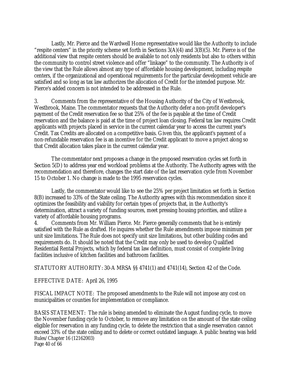Lastly, Mr. Pierce and the Wardwell Home representative would like the Authority to include "respite centers" in the priority scheme set forth in Sections 3(A)(4) and 3(B)(5). Mr. Pierce is of the additional view that respite centers should be available to not only residents but also to others within the community to control street violence and offer "linkage" to the community. The Authority is of the view that the Rule allows almost any type of affordable housing development, including respite centers, if the organizational and operational requirements for the particular development vehicle are satisfied and so long as tax law authorizes the allocation of Credit for the intended purpose. Mr. Pierce's added concern is not intended to be addressed in the Rule.

3. Comments from the representative of the Housing Authority of the City of Westbrook, Westbrook, Maine. The commentator requests that the Authority defer a non-profit developer's payment of the Credit reservation fee so that 25% of the fee is payable at the time of Credit reservation and the balance is paid at the time of project loan closing. Federal tax law requires Credit applicants with projects placed in service in the current calendar year to access the current year's Credit. Tax Credits are allocated on a competitive basis. Given this, the applicant's payment of a non-refundable reservation fee is an incentive for the Credit applicant to move a project along so that Credit allocation takes place in the current calendar year.

The commentator next proposes a change in the proposed reservation cycles set forth in Section 5(D) to address year end workload problems at the Authority. The Authority agrees with the recommendation and therefore, changes the start date of the last reservation cycle from November 15 to October 1. No change is made to the 1995 reservation cycles.

Lastly, the commentator would like to see the 25% per project limitation set forth in Section 8(B) increased to 33% of the State ceiling. The Authority agrees with this recommendation since it optimizes the feasibility and viability for certain types of projects that, in the Authority's determination, attract a variety of funding sources, meet pressing housing priorities, and utilize a variety of affordable housing programs.

4. Comments from Mr. William Pierce. Mr. Pierce generally comments that he is entirely satisfied with the Rule as drafted. He inquires whether the Rule amendments impose minimum per unit size limitations. The Rule does not specify unit size limitations, but other building codes and requirements do. It should be noted that the Credit may only be used to develop Qualified Residential Rental Projects, which by federal tax law definition, must consist of complete living facilities inclusive of kitchen facilities and bathroom facilities.

STATUTORY AUTHORITY: 30-A MRSA §§ 4741(1) and 4741(14), Section 42 of the Code.

EFFECTIVE DATE: April 26, 1995

FISCAL IMPACT NOTE: The proposed amendments to the Rule will not impose any cost on municipalities or counties for implementation or compliance.

Rules/Chapter 16 (12162003) Page 40 of 66 BASIS STATEMENT: The rule is being amended to eliminate the August funding cycle, to move the November funding cycle to October, to remove any limitation on the amount of the state ceiling eligible for reservation in any funding cycle, to delete the restriction that a single reservation cannot exceed 33% of the state ceiling and to delete or correct outdated language. A public hearing was held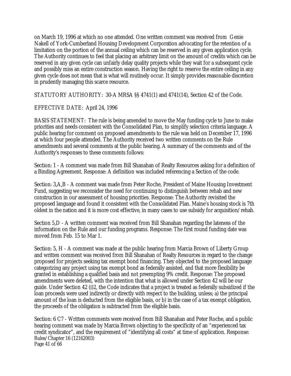on March 19, 1996 at which no one attended. One written comment was received from Genie Nakell of York-Cumberland Housing Development Corporation advocating for the retention of a limitation on the portion of the annual ceiling which can be reserved in any given application cycle. The Authority continues to feel that placing an arbitrary limit on the amount of credits which can be reserved in any given cycle can unfairly delay quality projects while they wait for a subsequent cycle and possibly miss an entire construction season. Having the right to reserve the entire ceiling in any given cycle does not mean that is what will routinely occur. It simply provides reasonable discretion in prudently managing this scarce resource.

STATUTORY AUTHORITY: 30-A MRSA §§ 4741(1) and 4741(14), Section 42 of the Code.

# EFFECTIVE DATE: April 24, 1996

BASIS STATEMENT: The rule is being amended to move the May funding cycle to June to make priorities and needs consistent with the Consolidated Plan, to simplify selection criteria language. A public hearing for comment on proposed amendments to the rule was held on December 17, 1996 at which four people attended. The Authority received two written comments on the Rule amendments and several comments at the public hearing. A summary of the comments and of the Authority's responses to these comments follows:

Section: 1 - A comment was made from Bill Shanahan of Realty Resources asking for a definition of a Binding Agreement. Response: A definition was included referencing a Section of the code.

Section: 3,A,B - A comment was made from Peter Roche, President of Maine Housing Investment Fund, suggesting we reconsider the need for continuing to distinguish between rehab and new construction in our assessment of housing priorities. Response: The Authority revisited the proposed language and found it consistent with the Consolidated Plan. Maine's housing stock is 7th oldest in the nation and it is more cost effective, in many cases to use subsidy for acquisition/rehab.

Section 5,D - A written comment was received from Bill Shanahan regarding the lateness of the information on the Rule and our funding programs. Response: The first round funding date was moved from Feb. 15 to Mar 1.

Section: 5, H - A comment was made at the public hearing from Marcia Brown of Liberty Group and written comment was received from Bill Shanahan of Realty Resources in regard to the change proposed for projects seeking tax exempt bond financing. They objected to the proposed language categorizing any project using tax exempt bond as federally assisted, and that more flexibility be granted in establishing a qualified basis and not preempting 9% credit. Response: The proposed amendments were deleted, with the intention that what is allowed under Section 42 will be our guide. Under Section 42 (i)2, the Code indicates that a project is treated as federally subsidized if the loan proceeds were used indirectly or directly with respect to the building, unless; a) the principal amount of the loan is deducted from the eligible basis, or b) in the case of a tax exempt obligation, the proceeds of the obligation is subtracted from the eligible basis.

Rules/Chapter 16 (12162003) Page 41 of 66 Section: 6 C7 - Written comments were received from Bill Shanahan and Peter Roche, and a public hearing comment was made by Marcia Brown objecting to the specificity of an "experienced tax credit syndicator", and the requirement of "identifying all costs" at time of application. Response: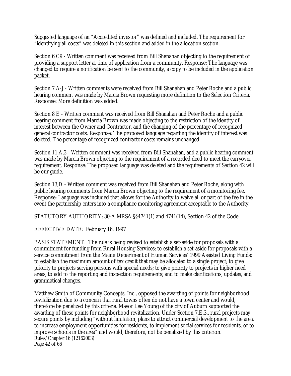Suggested language of an "Accredited investor" was defined and included. The requirement for "identifying all costs" was deleted in this section and added in the allocation section.

Section 6 C9 - Written comment was received from Bill Shanahan objecting to the requirement of providing a support letter at time of application from a community. Response: The language was changed to require a notification be sent to the community, a copy to be included in the application packet.

Section 7 A-J - Written comments were received from Bill Shanahan and Peter Roche and a public hearing comment was made by Marcia Brown requesting more definition to the Selection Criteria. Response: More definition was added.

Section 8 E - Written comment was received from Bill Shanahan and Peter Roche and a public hearing comment from Marcia Brown was made objecting to the restriction of the identity of interest between the Owner and Contractor, and the changing of the percentage of recognized general contractor costs. Response: The proposed language regarding the identify of interest was deleted. The percentage of recognized contractor costs remains unchanged.

Section 11 A,3 - Written comment was received from Bill Shanahan, and a public hearing comment was made by Marcia Brown objecting to the requirement of a recorded deed to meet the carryover requirement. Response: The proposed language was deleted and the requirements of Section 42 will be our guide.

Section 13,D - Written comment was received from Bill Shanahan and Peter Roche, along with public hearing comments from Marcia Brown objecting to the requirement of a monitoring fee. Response: Language was included that allows for the Authority to waive all or part of the fee in the event the partnership enters into a compliance monitoring agreement acceptable to the Authority.

STATUTORY AUTHORITY: 30-A MRSA §§4741(1) and 4741(14), Section 42 of the Code.

EFFECTIVE DATE: February 16, 1997

BASIS STATEMENT: The rule is being revised to establish a set-aside for proposals with a commitment for funding from Rural Housing Services; to establish a set-aside for proposals with a service commitment from the Maine Department of Human Services' 1999 Assisted Living Funds; to establish the maximum amount of tax credit that may be allocated to a single project; to give priority to projects serving persons with special needs; to give priority to projects in higher need areas; to add to the reporting and inspection requirements; and to make clarifications, updates, and grammatical changes.

Rules/Chapter 16 (12162003) Page 42 of 66 Matthew Smith of Community Concepts, Inc., opposed the awarding of points for neighborhood revitalization due to a concern that rural towns often do not have a town center and would, therefore be penalized by this criteria. Mayor Lee Young of the city of Auburn supported the awarding of these points for neighborhood revitalization. Under Section 7.E.3., rural projects may secure points by including "without limitation, plans to attract commercial development to the area, to increase employment opportunities for residents, to implement social services for residents, or to improve schools in the area" and would, therefore, not be penalized by this criterion.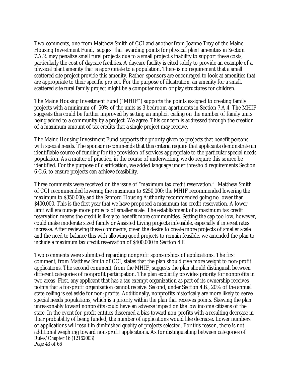Two comments, one from Matthew Smith of CCI and another from Joanne Troy of the Maine Housing Investment Fund, suggest that awarding points for physical plant amenities in Section 7.A.2. may penalize small rural projects due to a small project's inability to support these costs, particularly the cost of daycare facilities. A daycare facility is cited solely to provide an example of a physical plant amenity that is appropriate to a population. There is no requirement that a small scattered site project provide this amenity. Rather, sponsors are encouraged to look at amenities that are appropriate to their specific project. For the purpose of illustration, an amenity for a small, scattered site rural family project might be a computer room or play structures for children.

The Maine Housing Investment Fund ("MHIF") supports the points assigned to creating family projects with a minimum of 50% of the units as 3 bedroom apartments in Section 7.A.4. The MHIF suggests this could be further improved by setting an implicit ceiling on the number of family units being added to a community by a project. We agree. This concern is addressed through the creation of a maximum amount of tax credits that a single project may receive.

The Maine Housing Investment Fund supports the priority given to projects that benefit persons with special needs. The sponsor recommends that this criteria require that applicants demonstrate an identifiable source of funding for the provision of services appropriate to the particular special needs population. As a matter of practice, in the course of underwriting, we do require this source be identified. For the purpose of clarification, we added language under threshold requirements Section 6 C.6. to ensure projects can achieve feasibility.

Three comments were received on the issue of "maximum tax credit reservation." Matthew Smith of CCI recommended lowering the maximum to \$250,000; the MHIF recommended lowering the maximum to \$350,000; and the Sanford Housing Authority recommended going no lower than \$400,000. This is the first year that we have proposed a maximum tax credit reservation. A lower limit will encourage more projects of smaller scale. The establishment of a maximum tax credit reservation means the credit is likely to benefit more communities. Setting the cap too low, however, could make moderate sized family or Assisted Living projects infeasible, especially if interest rates increase. After reviewing these comments, given the desire to create more projects of smaller scale and the need to balance this with allowing good projects to remain feasible, we amended the plan to include a maximum tax credit reservation of \$400,000 in Section 4.E.

Rules/Chapter 16 (12162003) Page 43 of 66 Two comments were submitted regarding nonprofit sponsorships of applications. The first comment, from Matthew Smith of CCI, states that the plan should give more weight to non-profit applications. The second comment, from the MHIF, suggests the plan should distinguish between different categories of nonprofit participation. The plan explicitly provides priority for nonprofits in two areas First, any applicant that has a tax exempt organization as part of its ownership receives points that a for-profit organization cannot receive. Second, under Section 4.B., 20% of the annual state ceiling is set aside for non-profits. Additionally, nonprofits historically are more likely to serve special needs populations, which is a priority within the plan that receives points. Skewing the plan unreasonably toward nonprofits could have an adverse impact on the low income citizens of the state. In the event for-profit entities discerned a bias toward non-profits with a resulting decrease in their probability of being funded, the number of applications would like decrease. Lower numbers of applications will result in diminished quality of projects selected. For this reason, there is not additional weighting toward non-profit applications. As for distinguishing between categories of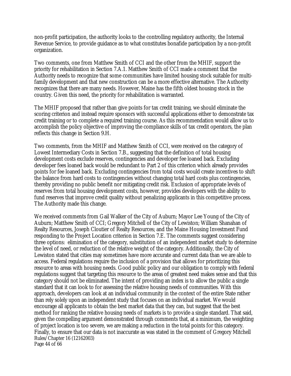non-profit participation, the authority looks to the controlling regulatory authority, the Internal Revenue Service, to provide guidance as to what constitutes bonafide participation by a non-profit organization.

Two comments, one from Matthew Smith of CCI and the other from the MHIF, support the priority for rehabilitation in Section 7.A.1. Matthew Smith of CCI made a comment that the Authority needs to recognize that some communities have limited housing stock suitable for multifamily development and that new construction can be a more effective alternative. The Authority recognizes that there are many needs. However, Maine has the fifth oldest housing stock in the country. Given this need, the priority for rehabilitation is warranted.

The MHIF proposed that rather than give points for tax credit training, we should eliminate the scoring criterion and instead require sponsors with successful applications either to demonstrate tax credit training or to complete a required training course. As this recommendation would allow us to accomplish the policy objective of improving the compliance skills of tax credit operators, the plan reflects this change in Section 9.H.

Two comments, from the MHIF and Matthew Smith of CCI, were received on the category of Lowest Intermediary Costs in Section 7.B., suggesting that the definition of total housing development costs exclude reserves, contingencies and developer fee loaned back. Excluding developer fees loaned back would be redundant to Part 2 of this criterion which already provides points for fee loaned back. Excluding contingencies from total costs would create incentives to shift the balance from hard costs to contingencies without changing total hard costs plus contingencies, thereby providing no public benefit nor mitigating credit risk. Exclusion of appropriate levels of reserves from total housing development costs, however, provides developers with the ability to fund reserves that improve credit quality without penalizing applicants in this competitive process. The Authority made this change.

Rules/Chapter 16 (12162003) Page 44 of 66 We received comments from Gail Walker of the City of Auburn; Mayor Lee Young of the City of Auburn; Matthew Smith of CCI; Gregory Mitchell of the City of Lewiston; William Shanahan of Realty Resources, Joseph Cloutier of Realty Resources; and the Maine Housing Investment Fund responding to the Project Location criterion in Section 7.E. The comments suggest considering three options: elimination of the category, substitution of an independent market study to determine the level of need, or reduction of the relative weight of the category. Additionally, the City of Lewiston stated that cities may sometimes have more accurate and current data than we are able to access. Federal regulations require the inclusion of a provision that allows for prioritizing this resource to areas with housing needs. Good public policy and our obligation to comply with federal regulations suggest that targeting this resource to the areas of greatest need makes sense and that this category should not be eliminated. The intent of providing an index is to allow the public a single standard that it can look to for assessing the relative housing needs of communities. With this approach, developers can look at an individual community in the context of the entire State rather than rely solely upon an independent study that focuses on an individual market. We would encourage all applicants to obtain the best market data that they can, but suggest that the best method for ranking the relative housing needs of markets is to provide a single standard. That said, given the compelling argument demonstrated through comments that, at a minimum, the weighting of project location is too severe, we are making a reduction in the total points for this category. Finally, to ensure that our data is not inaccurate as was stated in the comment of Gregory Mitchell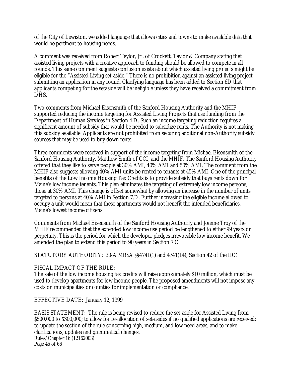of the City of Lewiston, we added language that allows cities and towns to make available data that would be pertinent to housing needs.

A comment was received from Robert Taylor, Jr., of Crockett, Taylor & Company stating that assisted living projects with a creative approach to funding should be allowed to compete in all rounds. This same comment suggests confusion exists about which assisted living projects might be eligible for the "Assisted Living set-aside." There is no prohibition against an assisted living project submitting an application in any round. Clarifying language has been added to Section 6D that applicants competing for the setaside will be ineligible unless they have received a commitment from DHS.

Two comments from Michael Eisensmith of the Sanford Housing Authority and the MHIF supported reducing the income targeting for Assisted Living Projects that use funding from the Department of Human Services in Section 4.D. Such an income targeting reduction requires a significant amount of subsidy that would be needed to subsidize rents. The Authority is not making this subsidy available. Applicants are not prohibited from securing additional non-Authority subsidy sources that may be used to buy down rents.

Three comments were received in support of the income targeting from Michael Eisensmith of the Sanford Housing Authority, Matthew Smith of CCI, and the MHIF. The Sanford Housing Authority offered that they like to serve people at 30% AMI, 40% AMI and 50% AMI. The comment from the MHIF also suggests allowing 40% AMI units be rented to tenants at 45% AMI. One of the principal benefits of the Low Income Housing Tax Credits is to provide subsidy that buys rents down for Maine's low income tenants. This plan eliminates the targeting of extremely low income persons, those at 30% AMI. This change is offset somewhat by allowing an increase in the number of units targeted to persons at 40% AMI in Section 7.D. Further increasing the eligible income allowed to occupy a unit would mean that these apartments would not benefit the intended beneficiaries, Maine's lowest income citizens.

Comments from Michael Eisensmith of the Sanford Housing Authority and Joanne Troy of the MHIF recommended that the extended low income use period be lengthened to either 99 years or perpetuity. This is the period for which the developer pledges irrevocable low income benefit. We amended the plan to extend this period to 90 years in Section 7.C.

STATUTORY AUTHORITY: 30-A MRSA §§4741(1) and 4741(14), Section 42 of the IRC

## FISCAL IMPACT OF THE RULE:

The sale of the low income housing tax credits will raise approximately \$10 million, which must be used to develop apartments for low income people. The proposed amendments will not impose any costs on municipalities or counties for implementation or compliance.

EFFECTIVE DATE: January 12, 1999

Rules/Chapter 16 (12162003) Page 45 of 66 BASIS STATEMENT: The rule is being revised to reduce the set-aside for Assisted Living from \$500,000 to \$300,000; to allow for re-allocation of set-asides if no qualified applications are received; to update the section of the rule concerning high, medium, and low need areas; and to make clarifications, updates and grammatical changes.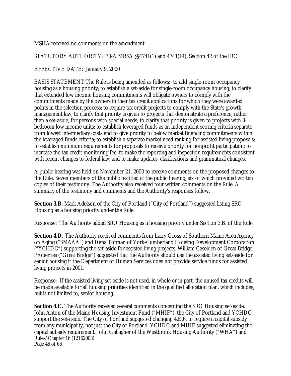MSHA received no comments on the amendment.

STATUTORY AUTHORITY: 30-A MRSA §§4741(1) and 4741(14), Section 42 of the IRC

EFFECTIVE DATE: January 9, 2000

BASIS STATEMENT. The Rule is being amended as follows: to add single-room occupancy housing as a housing priority; to establish a set-aside for single-room occupancy housing; to clarify that extended low income housing commitments will obligate owners to comply with the commitments made by the owners in their tax credit applications for which they were awarded points in the selection process; to require tax credit projects to comply with the State's growth management law; to clarify that priority is given to projects that demonstrate a preference, rather than a set-aside, for persons with special needs; to clarify that priority is given to projects with 3 bedroom low income units; to establish leveraged funds as an independent scoring criteria separate from lowest intermediary costs and to give priority to below market financing commitments within the leveraged funds criteria; to establish a separate market need ranking for assisted living proposals; to establish minimum requirements for proposals to receive priority for nonprofit participation; to increase the tax credit monitoring fee; to make the reporting and inspection requirements consistent with recent changes to federal law; and to make updates, clarifications and grammatical changes.

A public hearing was held on November 21, 2000 to receive comments on the proposed changes to the Rule. Seven members of the public testified at the public hearing, six of which provided written copies of their testimony. The Authority also received four written comments on the Rule. A summary of the testimony and comments and the Authority's responses follow.

**Section 3.B.** Mark Adelson of the City of Portland ("City of Portland") suggested listing SRO Housing as a housing priority under the Rule.

Response: The Authority added SRO Housing as a housing priority under Section 3.B. of the Rule.

**Section 4.D.** The Authority received comments from Larry Gross of Southern Maine Area Agency on Aging ("SMAAA") and Dana Totman of York-Cumberland Housing Development Corporation ("YCHDC") supporting the set-aside for assisted living projects. William Caselden of Great Bridge Properties ("Great Bridge") suggested that the Authority should use the assisted living set-aside for senior housing if the Department of Human Services does not provide service funds for assisted living projects in 2001.

Response: If the assisted living set-aside is not used, in whole or in part, the unused tax credits will be made available for all housing priorities identified in the qualified allocation plan, which includes, but is not limited to, senior housing.

Rules/Chapter 16 (12162003) Page 46 of 66 **Section 4.E.** The Authority received several comments concerning the SRO Housing set-aside. John Anton of the Maine Housing Investment Fund ("MHIF"), the City of Portland and YCHDC support the set-aside. The City of Portland suggested changing 4.E.6. to require a capital subsidy from any municipality, not just the City of Portland. YCHDC and MHIF suggested eliminating the capital subsidy requirement. John Gallagher of the Westbrook Housing Authority ("WHA") and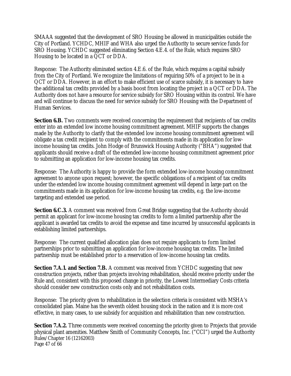SMAAA suggested that the development of SRO Housing be allowed in municipalities outside the City of Portland. YCHDC, MHIF and WHA also urged the Authority to secure service funds for SRO Housing. YCHDC suggested eliminating Section 4.E.4. of the Rule, which requires SRO Housing to be located in a QCT or DDA.

Response: The Authority eliminated section 4.E.6. of the Rule, which requires a capital subsidy from the City of Portland. We recognize the limitations of requiring 50% of a project to be in a QCT or DDA. However, in an effort to make efficient use of scarce subsidy, it is necessary to have the additional tax credits provided by a basis boost from locating the project in a QCT or DDA. The Authority does not have a resource for service subsidy for SRO Housing within its control. We have and will continue to discuss the need for service subsidy for SRO Housing with the Department of Human Services.

**Section 6.B.** Two comments were received concerning the requirement that recipients of tax credits enter into an extended low income housing commitment agreement. MHIF supports the changes made by the Authority to clarify that the extended low income housing commitment agreement will obligate a tax credit recipient to comply with the commitments made in its application for lowincome housing tax credits. John Hodge of Brunswick Housing Authority ("BHA") suggested that applicants should receive a draft of the extended low-income housing commitment agreement prior to submitting an application for low-income housing tax credits.

Response: The Authority is happy to provide the form extended low-income housing commitment agreement to anyone upon request; however, the specific obligations of a recipient of tax credits under the extended low income housing commitment agreement will depend in large part on the commitments made in its application for low-income housing tax credits, e.g. the low-income targeting and extended use period.

**Section 6.C.3.** A comment was received from Great Bridge suggesting that the Authority should permit an applicant for low-income housing tax credits to form a limited partnership after the applicant is awarded tax credits to avoid the expense and time incurred by unsuccessful applicants in establishing limited partnerships.

Response: The current qualified allocation plan does not require applicants to form limited partnerships prior to submitting an application for low-income housing tax credits. The limited partnership must be established prior to a reservation of low-income housing tax credits.

**Section 7.A.1. and Section 7.B.** A comment was received from YCHDC suggesting that new construction projects, rather than projects involving rehabilitation, should receive priority under the Rule and, consistent with this proposed change in priority, the Lowest Intermediary Costs criteria should consider new construction costs only and not rehabilitation costs.

Response: The priority given to rehabilitation in the selection criteria is consistent with MSHA's consolidated plan. Maine has the seventh oldest housing stock in the nation and it is more cost effective, in many cases, to use subsidy for acquisition and rehabilitation than new construction.

Rules/Chapter 16 (12162003) Page 47 of 66 **Section 7.A.2.** Three comments were received concerning the priority given to Projects that provide physical plant amenities. Matthew Smith of Community Concepts, Inc. ("CCI") urged the Authority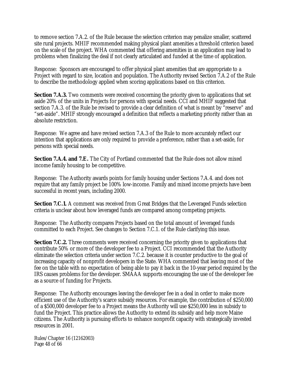to remove section 7.A.2. of the Rule because the selection criterion may penalize smaller, scattered site rural projects. MHIF recommended making physical plant amenities a threshold criterion based on the scale of the project. WHA commented that offering amenities in an application may lead to problems when finalizing the deal if not clearly articulated and funded at the time of application.

Response: Sponsors are encouraged to offer physical plant amenities that are appropriate to a Project with regard to size, location and population. The Authority revised Section 7.A.2 of the Rule to describe the methodology applied when scoring applications based on this criterion.

**Section 7.A.3.** Two comments were received concerning the priority given to applications that set aside 20% of the units in Projects for persons with special needs. CCI and MHIF suggested that section 7.A.3. of the Rule be revised to provide a clear definition of what is meant by "reserve" and "set-aside". MHIF strongly encouraged a definition that reflects a marketing priority rather than an absolute restriction.

Response: We agree and have revised section 7.A.3 of the Rule to more accurately reflect our intention that applications are only required to provide a preference, rather than a set-aside, for persons with special needs.

**Section 7.A.4. and 7.E.** The City of Portland commented that the Rule does not allow mixed income family housing to be competitive.

Response: The Authority awards points for family housing under Sections 7.A.4. and does not require that any family project be 100% low-income. Family and mixed income projects have been successful in recent years, including 2000.

**Section 7.C.1.** A comment was received from Great Bridges that the Leveraged Funds selection criteria is unclear about how leveraged funds are compared among competing projects.

Response: The Authority compares Projects based on the total amount of leveraged funds committed to each Project. See changes to Section 7.C.1. of the Rule clarifying this issue.

**Section 7.C.2.** Three comments were received concerning the priority given to applications that contribute 50% or more of the developer fee to a Project. CCI recommended that the Authority eliminate the selection criteria under section 7.C.2. because it is counter productive to the goal of increasing capacity of nonprofit developers in the State. WHA commented that leaving most of the fee on the table with no expectation of being able to pay it back in the 10-year period required by the IRS causes problems for the developer. SMAAA supports encouraging the use of the developer fee as a source of funding for Projects.

Response: The Authority encourages leaving the developer fee in a deal in order to make more efficient use of the Authority's scarce subsidy resources. For example, the contribution of \$250,000 of a \$500,000 developer fee to a Project means the Authority will use \$250,000 less in subsidy to fund the Project. This practice allows the Authority to extend its subsidy and help more Maine citizens. The Authority is pursuing efforts to enhance nonprofit capacity with strategically invested resources in 2001.

Rules/Chapter 16 (12162003) Page 48 of 66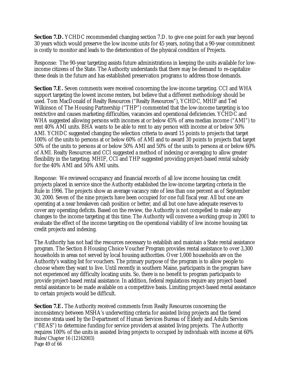**Section 7.D.** YCHDC recommended changing section 7.D. to give one point for each year beyond 30 years which would preserve the low income units for 45 years, noting that a 90-year commitment is costly to monitor and leads to the deterioration of the physical condition of Projects.

Response: The 90-year targeting assists future administrations in keeping the units available for lowincome citizens of the State. The Authority understands that there may be demand to re-capitalize these deals in the future and has established preservation programs to address those demands.

**Section 7.E.** Seven comments were received concerning the low-income targeting. CCI and WHA support targeting the lowest income renters, but believe that a different methodology should be used. Tom MacDonald of Realty Resources ("Realty Resources"), YCHDC, MHIF and Ted Wilkinson of The Housing Partnership ("THP") commented that the low-income targeting is too restrictive and causes marketing difficulties, vacancies and operational deficiencies. YCHDC and WHA suggested allowing persons with incomes at or below 45% of area median income ("AMI") to rent 40% AMI units. BHA wants to be able to rent to any person with income at or below 50% AMI. YCHDC suggested changing the selection criteria to award 15 points to projects that target 100% of the units to persons at or below 60% of AMI and to award 30 points to projects that target 50% of the units to persons at or below 50% AMI and 50% of the units to persons at or below 60% of AMI. Realty Resources and CCI suggested a method of indexing or averaging to allow greater flexibility in the targeting. MHIF, CCI and THP suggested providing project-based rental subsidy for the 40% AMI and 50% AMI units.

Response: We reviewed occupancy and financial records of all low income housing tax credit projects placed in service since the Authority established the low-income targeting criteria in the Rule in 1996. The projects show an average vacancy rate of less than one percent as of September 30, 2000. Seven of the nine projects have been occupied for one full fiscal year. All but one are operating at a near breakeven cash position or better, and all but one have adequate reserves to cover any operating deficits. Based on the review, the Authority is not compelled to make any changes to the income targeting at this time. The Authority will convene a working group in 2001 to evaluate the effect of the income targeting on the operational viability of low income housing tax credit projects and indexing.

The Authority has not had the resources necessary to establish and maintain a State rental assistance program. The Section 8 Housing Choice Voucher Program provides rental assistance to over 3,300 households in areas not served by local housing authorities. Over 1,000 households are on the Authority's waiting list for vouchers. The primary purpose of the program is to allow people to choose where they want to live. Until recently in southern Maine, participants in the program have not experienced any difficulty locating units. So, there is no benefit to program participants to provide project-based rental assistance. In addition, federal regulations require any project-based rental assistance to be made available on a competitive basis. Limiting project-based rental assistance to certain projects would be difficult.

Rules/Chapter 16 (12162003) Page 49 of 66 **Section 7.E.** The Authority received comments from Realty Resources concerning the inconsistency between MSHA's underwriting criteria for assisted living projects and the tiered income strata used by the Department of Human Services Bureau of Elderly and Adults Services ("BEAS") to determine funding for service providers at assisted living projects. The Authority requires 100% of the units in assisted living projects to occupied by individuals with income at 60%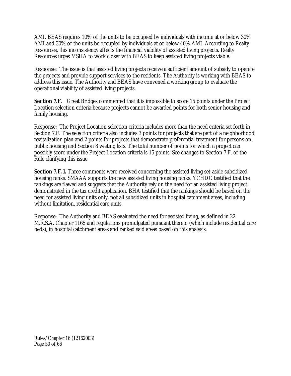AMI. BEAS requires 10% of the units to be occupied by individuals with income at or below 30% AMI and 30% of the units be occupied by individuals at or below 40% AMI. According to Realty Resources, this inconsistency affects the financial viability of assisted living projects. Realty Resources urges MSHA to work closer with BEAS to keep assisted living projects viable.

Response: The issue is that assisted living projects receive a sufficient amount of subsidy to operate the projects and provide support services to the residents. The Authority is working with BEAS to address this issue. The Authority and BEAS have convened a working group to evaluate the operational viability of assisted living projects.

**Section 7.F.** Great Bridges commented that it is impossible to score 15 points under the Project Location selection criteria because projects cannot be awarded points for both senior housing and family housing.

Response: The Project Location selection criteria includes more than the need criteria set forth in Section 7.F. The selection criteria also includes 3 points for projects that are part of a neighborhood revitalization plan and 2 points for projects that demonstrate preferential treatment for persons on public housing and Section 8 waiting lists. The total number of points for which a project can possibly score under the Project Location criteria is 15 points. See changes to Section 7.F. of the Rule clarifying this issue.

**Section 7.F.1.** Three comments were received concerning the assisted living set-aside subsidized housing ranks. SMAAA supports the new assisted living housing ranks. YCHDC testified that the rankings are flawed and suggests that the Authority rely on the need for an assisted living project demonstrated in the tax credit application. BHA testified that the rankings should be based on the need for assisted living units only, not all subsidized units in hospital catchment areas, including without limitation, residential care units.

Response: The Authority and BEAS evaluated the need for assisted living, as defined in 22 M.R.S.A. Chapter 1165 and regulations promulgated pursuant thereto (which include residential care beds), in hospital catchment areas and ranked said areas based on this analysis.

Rules/Chapter 16 (12162003) Page 50 of 66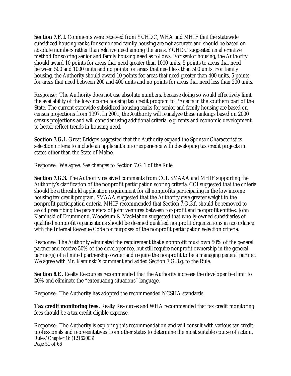**Section 7.F.1.** Comments were received from YCHDC, WHA and MHIF that the statewide subsidized housing ranks for senior and family housing are not accurate and should be based on absolute numbers rather than relative need among the areas. YCHDC suggested an alternative method for scoring senior and family housing need as follows. For senior housing, the Authority should award 10 points for areas that need greater than 1000 units, 5 points to areas that need between 500 and 1000 units and no points for areas that need less than 500 units. For family housing, the Authority should award 10 points for areas that need greater than 400 units, 5 points for areas that need between 200 and 400 units and no points for areas that need less than 200 units.

Response: The Authority does not use absolute numbers, because doing so would effectively limit the availability of the low-income housing tax credit program to Projects in the southern part of the State. The current statewide subsidized housing ranks for senior and family housing are based on census projections from 1997. In 2001, the Authority will reanalyze these rankings based on 2000 census projections and will consider using additional criteria, e.g. rents and economic development, to better reflect trends in housing need.

**Section 7.G.1.** Great Bridges suggested that the Authority expand the Sponsor Characteristics selection criteria to include an applicant's prior experience with developing tax credit projects in states other than the State of Maine.

Response: We agree. See changes to Section 7.G.1 of the Rule.

**Section 7.G.3.** The Authority received comments from CCI, SMAAA and MHIF supporting the Authority's clarification of the nonprofit participation scoring criteria. CCI suggested that the criteria should be a threshold application requirement for all nonprofits participating in the low income housing tax credit program. SMAAA suggested that the Authority give greater weight to the nonprofit participation criteria. MHIF recommended that Section 7.G.3.f. should be removed to avoid prescribing the parameters of joint ventures between for-profit and nonprofit entities. John Kaminski of Drummond, Woodsum & MacMahon suggested that wholly-owned subsidiaries of qualified nonprofit organizations should be deemed qualified nonprofit organizations in accordance with the Internal Revenue Code for purposes of the nonprofit participation selection criteria.

Response. The Authority eliminated the requirement that a nonprofit must own 50% of the general partner and receive 50% of the developer fee, but still require nonprofit ownership in the general partner(s) of a limited partnership owner and require the nonprofit to be a managing general partner. We agree with Mr. Kaminski's comment and added Section 7.G.3.g. to the Rule.

**Section 8.E.** Realty Resources recommended that the Authority increase the developer fee limit to 20% and eliminate the "extenuating situations" language.

Response: The Authority has adopted the recommended NCSHA standards.

**Tax credit monitoring fees.** Realty Resources and WHA recommended that tax credit monitoring fees should be a tax credit eligible expense.

Rules/Chapter 16 (12162003) Page 51 of 66 Response: The Authority is exploring this recommendation and will consult with various tax credit professionals and representatives from other states to determine the most suitable course of action.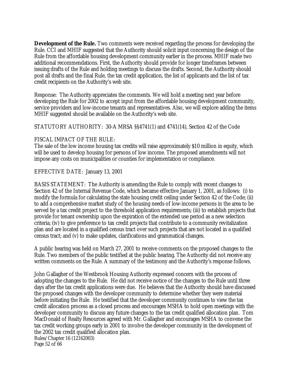**Development of the Rule.** Two comments were received regarding the process for developing the Rule. CCI and MHIF suggested that the Authority should solicit input concerning the design of the Rule from the affordable housing development community earlier in the process. MHIF made two additional recommendations. First, the Authority should provide for longer timeframes between issuing drafts of the Rule and holding meetings to discuss the drafts. Second, the Authority should post all drafts and the final Rule, the tax credit application, the list of applicants and the list of tax credit recipients on the Authority's web site.

Response: The Authority appreciates the comments. We will hold a meeting next year before developing the Rule for 2002 to accept input from the affordable housing development community, service providers and low-income tenants and representatives. Also, we will explore adding the items MHIF suggested should be available on the Authority's web site.

#### STATUTORY AUTHORITY: 30-A MRSA §§4741(1) and 4741(14), Section 42 of the Code

#### FISCAL IMPACT OF THE RULE:

The sale of the low income housing tax credits will raise approximately \$10 million in equity, which will be used to develop housing for persons of low income. The proposed amendments will not impose any costs on municipalities or counties for implementation or compliance.

#### EFFECTIVE DATE: January 13, 2001

BASIS STATEMENT: The Authority is amending the Rule to comply with recent changes to Section 42 of the Internal Revenue Code, which became effective January 1, 2001, as follows: (i) to modify the formula for calculating the state housing credit ceiling under Section 42 of the Code; (ii) to add a comprehensive market study of the housing needs of low-income persons in the area to be served by a tax credit project to the threshold application requirements; (iii) to establish projects that provide for tenant ownership upon the expiration of the extended use period as a new selection criteria; (iv) to give preference to tax credit projects that contribute to a community revitalization plan and are located in a qualified census tract over such projects that are not located in a qualified census tract; and (v) to make updates, clarifications and grammatical changes.

A public hearing was held on March 27, 2001 to receive comments on the proposed changes to the Rule. Two members of the public testified at the public hearing. The Authority did not receive any written comments on the Rule. A summary of the testimony and the Authority's response follows.

Rules/Chapter 16 (12162003) Page 52 of 66 John Gallagher of the Westbrook Housing Authority expressed concern with the process of adopting the changes to the Rule. He did not receive notice of the changes to the Rule until three days after the tax credit applications were due. He believes that the Authority should have discussed the proposed changes with the developer community to determine whether they were material before initiating the Rule. He testified that the developer community continues to view the tax credit allocation process as a closed process and encourages MSHA to hold open meetings with the developer community to discuss any future changes to the tax credit qualified allocation plan. Tom MacDonald of Realty Resources agreed with Mr. Gallagher and encourages MSHA to convene the tax credit working groups early in 2001 to involve the developer community in the development of the 2002 tax credit qualified allocation plan.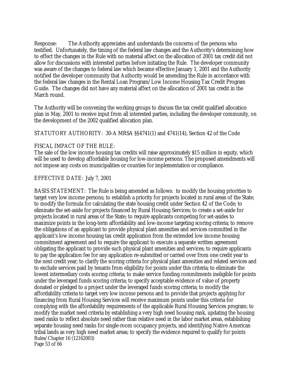Response: The Authority appreciates and understands the concerns of the persons who testified. Unfortunately, the timing of the federal law changes and the Authority's determining how to effect the changes in the Rule with no material affect on the allocation of 2001 tax credit did not allow for discussions with interested parties before initiating the Rule. The developer community was aware of the changes to federal law which became effective January 1, 2001 and the Authority notified the developer community that Authority would be amending the Rule in accordance with the federal law changes in the Rental Loan Program/Low Income Housing Tax Credit Program Guide. The changes did not have any material affect on the allocation of 2001 tax credit in the March round.

The Authority will be convening the working groups to discuss the tax credit qualified allocation plan in May, 2001 to receive input from all interested parties, including the developer community, on the development of the 2002 qualified allocation plan.

STATUTORY AUTHORITY: 30-A MRSA §§4741(1) and 4741(14), Section 42 of the Code

#### FISCAL IMPACT OF THE RULE:

The sale of the low income housing tax credits will raise approximately \$15 million in equity, which will be used to develop affordable housing for low-income persons. The proposed amendments will not impose any costs on municipalities or counties for implementation or compliance.

#### EFFECTIVE DATE: July 7, 2001

Rules/Chapter 16 (12162003) Page 53 of 66 BASIS STATEMENT: The Rule is being amended as follows: to modify the housing priorities to target very low income persons; to establish a priority for projects located in rural areas of the State; to modify the formula for calculating the state housing credit under Section 42 of the Code; to eliminate the set-aside for projects financed by Rural Housing Services; to create a set-aside for projects located in rural areas of the State; to require applicants competing for set-asides to maximize points in the long-term affordability and low-income targeting scoring criteria; to remove the obligations of an applicant to provide physical plant amenities and services committed in the applicant's low income housing tax credit application from the extended low income housing commitment agreement and to require the applicant to execute a separate written agreement obligating the applicant to provide such physical plant amenities and services; to require applicants to pay the application fee for any application re-submitted or carried over from one credit year to the next credit year; to clarify the scoring criteria for physical plant amenities and related services and to exclude services paid by tenants from eligibility for points under this criteria; to eliminate the lowest intermediary costs scoring criteria; to make service funding commitments ineligible for points under the leveraged funds scoring criteria; to specify acceptable evidence of value of property donated or pledged to a project under the leveraged funds scoring criteria; to modify the affordability criteria to target very low income persons and to provide that projects applying for financing from Rural Housing Services will receive maximum points under this criteria for complying with the affordability requirements of the applicable Rural Housing Services program; to modify the market need criteria by establishing a very high need housing rank, updating the housing need ranks to reflect absolute need rather than relative need in the labor market areas, establishing separate housing need ranks for single-room occupancy projects, and identifying Native American tribal lands as very high need market areas; to specify the evidence required to qualify for points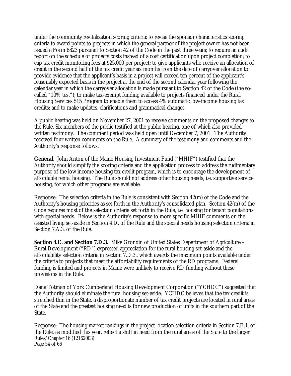under the community revitalization scoring criteria; to revise the sponsor characteristics scoring criteria to award points to projects in which the general partner of the project owner has not been issued a Form 8823 pursuant to Section 42 of the Code in the past three years; to require an audit report on the schedule of projects costs instead of a cost certification upon project completion; to cap tax credit monitoring fees at \$25,000 per project; to give applicants who receive an allocation of credit in the second half of the tax credit year six months from the date of carryover allocation to provide evidence that the applicant's basis in a project will exceed ten percent of the applicant's reasonably expected basis in the project at the end of the second calendar year following the calendar year in which the carryover allocation is made pursuant to Section 42 of the Code (the socalled "10% test"); to make tax-exempt funding available to projects financed under the Rural Housing Services 515 Program to enable them to access 4% automatic low-income housing tax credits; and to make updates, clarifications and grammatical changes.

A public hearing was held on November 27, 2001 to receive comments on the proposed changes to the Rule. Six members of the public testified at the public hearing, one of which also provided written testimony. The comment period was held open until December 7, 2001. The Authority received four written comments on the Rule. A summary of the testimony and comments and the Authority's response follows.

**General**. John Anton of the Maine Housing Investment Fund ("MHIF") testified that the Authority should simplify the scoring criteria and the application process to address the rudimentary purpose of the low income housing tax credit program, which is to encourage the development of affordable rental housing. The Rule should not address other housing needs, i.e. supportive service housing, for which other programs are available.

Response: The selection criteria in the Rule is consistent with Section 42(m) of the Code and the Authority's housing priorities as set forth in the Authority's consolidated plan. Section 42(m) of the Code requires most of the selection criteria set forth in the Rule, i.e. housing for tenant populations with special needs. Below is the Authority's response to more specific MHIF comments on the assisted living set-aside in Section 4.D. of the Rule and the special needs housing selection criteria in Section 7.A.3. of the Rule.

**Section 4.C. and Section 7.D.3.** Mike Grondin of United States Department of Agriculture – Rural Development ("RD") expressed appreciation for the rural housing set-aside and the affordability selection criteria in Section 7.D.3., which awards the maximum points available under the criteria to projects that meet the affordability requirements of the RD programs. Federal funding is limited and projects in Maine were unlikely to receive RD funding without these provisions in the Rule.

Dana Totman of York Cumberland Housing Development Corporation ("YCHDC") suggested that the Authority should eliminate the rural housing set-aside. YCHDC believes that the tax credit is stretched thin in the State, a disproportionate number of tax credit projects are located in rural areas of the State and the greatest housing need is for new production of units in the southern part of the State.

Rules/Chapter 16 (12162003) Page 54 of 66 Response: The housing market rankings in the project location selection criteria in Section 7.E.1. of the Rule, as modified this year, reflect a shift in need from the rural areas of the State to the larger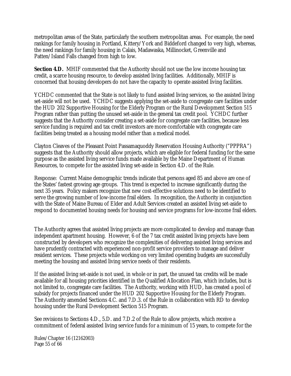metropolitan areas of the State, particularly the southern metropolitan areas. For example, the need rankings for family housing in Portland, Kittery/York and Biddeford changed to very high, whereas, the need rankings for family housing in Calais, Madawaska, Millinocket, Greenville and Patten/Island Falls changed from high to low.

**Section 4.D.** MHIF commented that the Authority should not use the low income housing tax credit, a scarce housing resource, to develop assisted living facilities. Additionally, MHIF is concerned that housing developers do not have the capacity to operate assisted living facilities.

YCHDC commented that the State is not likely to fund assisted living services, so the assisted living set-aside will not be used. YCHDC suggests applying the set-aside to congregate care facilities under the HUD 202 Supportive Housing for the Elderly Program or the Rural Development Section 515 Program rather than putting the unused set-aside in the general tax credit pool. YCHDC further suggests that the Authority consider creating a set-aside for congregate care facilities, because less service funding is required and tax credit investors are more comfortable with congregate care facilities being treated as a housing model rather than a medical model.

Clayton Cleaves of the Pleasant Point Passamaquoddy Reservation Housing Authority ("PPPRA") suggests that the Authority should allow projects, which are eligible for federal funding for the same purpose as the assisted living service funds made available by the Maine Department of Human Resources, to compete for the assisted living set-aside in Section 4.D. of the Rule.

Response: Current Maine demographic trends indicate that persons aged 85 and above are one of the States' fastest growing age groups. This trend is expected to increase significantly during the next 35 years. Policy makers recognize that new cost-effective solutions need to be identified to serve the growing number of low-income frail elders. In recognition, the Authority in conjunction with the State of Maine Bureau of Elder and Adult Services created an assisted living set-aside to respond to documented housing needs for housing and service programs for low-income frail elders.

The Authority agrees that assisted living projects are more complicated to develop and manage than independent apartment housing. However, 6 of the 7 tax credit assisted living projects have been constructed by developers who recognize the complexities of delivering assisted living services and have prudently contracted with experienced non-profit service providers to manage and deliver resident services. These projects while working on very limited operating budgets are successfully meeting the housing and assisted living service needs of their residents.

If the assisted living set-aside is not used, in whole or in part, the unused tax credits will be made available for all housing priorities identified in the Qualified Allocation Plan, which includes, but is not limited to, congregate care facilities. The Authority, working with HUD, has created a pool of subsidy for projects financed under the HUD 202 Supportive Housing for the Elderly Program. The Authority amended Sections 4.C. and 7.D.3. of the Rule in collaboration with RD to develop housing under the Rural Development Section 515 Program.

See revisions to Sections 4.D., 5.D. and 7.D.2 of the Rule to allow projects, which receive a commitment of federal assisted living service funds for a minimum of 15 years, to compete for the

Rules/Chapter 16 (12162003) Page 55 of 66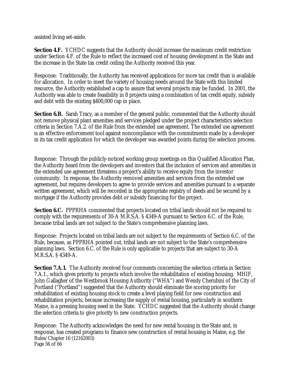assisted living set-aside.

**Section 4.F.** YCHDC suggests that the Authority should increase the maximum credit restriction under Section 4.F. of the Rule to reflect the increased cost of housing development in the State and the increase in the State tax credit ceiling the Authority received this year.

Response: Traditionally, the Authority has received applications for more tax credit than is available for allocation. In order to meet the variety of housing needs around the State with this limited resource, the Authority established a cap to assure that several projects may be funded. In 2001, the Authority was able to create feasibility in 8 projects using a combination of tax credit equity, subsidy and debt with the existing \$400,000 cap in place.

**Section 6.B.** Sarah Tracy, as a member of the general public, commented that the Authority should not remove physical plant amenities and services pledged under the project characteristics selection criteria in Section 7.A.2. of the Rule from the extended use agreement. The extended use agreement is an effective enforcement tool against noncompliance with the commitments made by a developer in its tax credit application for which the developer was awarded points during the selection process.

Response: Through the publicly-noticed working group meetings on this Qualified Allocation Plan, the Authority heard from the developers and investors that the inclusion of services and amenities in the extended use agreement threatens a project's ability to receive equity from the investor community. In response, the Authority removed amenities and services from the extended use agreement, but requires developers to agree to provide services and amenities pursuant to a separate written agreement, which will be recorded in the appropriate registry of deeds and be secured by a mortgage if the Authority provides debt or subsidy financing for the project.

**Section 6.C.** PPPRHA commented that projects located on tribal lands should not be required to comply with the requirements of 30-A M.R.S.A. § 4349-A pursuant to Section 6.C. of the Rule, because tribal lands are not subject to the State's comprehensive planning laws.

Response: Projects located on tribal lands are not subject to the requirements of Section 6.C. of the Rule, because, as PPPRHA pointed out, tribal lands are not subject to the State's comprehensive planning laws. Section 6.C. of the Rule is only applicable to projects that are subject to 30-A M.R.S.A. § 4349-A.

**Section 7.A.1.** The Authority received four comments concerning the selection criteria in Section 7.A.1., which gives priority to projects which involve the rehabilitation of existing housing. MHIF, John Gallagher of the Westbrook Housing Authority ("WHA") and Wendy Cherubini of the City of Portland ("Portland") suggested that the Authority should eliminate the scoring priority for rehabilitation of existing housing stock to create a level playing field for new construction and rehabilitation projects, because increasing the supply of rental housing, particularly in southern Maine, is a pressing housing need in the State. YCHDC suggested that the Authority should change the selection criteria to give priority to new construction projects.

Rules/Chapter 16 (12162003) Page 56 of 66 Response: The Authority acknowledges the need for new rental housing in the State and, in response, has created programs to finance new construction of rental housing in Maine, e.g. the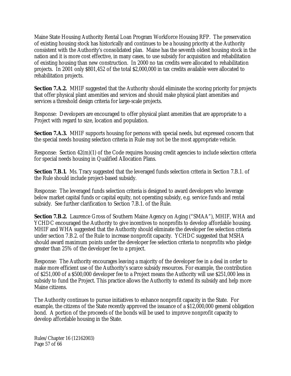Maine State Housing Authority Rental Loan Program Workforce Housing RFP. The preservation of existing housing stock has historically and continues to be a housing priority at the Authority consistent with the Authority's consolidated plan. Maine has the seventh oldest housing stock in the nation and it is more cost effective, in many cases, to use subsidy for acquisition and rehabilitation of existing housing than new construction. In 2000 no tax credits were allocated to rehabilitation projects. In 2001 only \$801,452 of the total \$2,000,000 in tax credits available were allocated to rehabilitation projects.

**Section 7.A.2.** MHIF suggested that the Authority should eliminate the scoring priority for projects that offer physical plant amenities and services and should make physical plant amenities and services a threshold design criteria for large-scale projects.

Response: Developers are encouraged to offer physical plant amenities that are appropriate to a Project with regard to size, location and population.

**Section 7.A.3.** MHIF supports housing for persons with special needs, but expressed concern that the special needs housing selection criteria in Rule may not be the most appropriate vehicle.

Response: Section 42(m)(1) of the Code requires housing credit agencies to include selection criteria for special needs housing in Qualified Allocation Plans.

**Section 7.B.1.** Ms. Tracy suggested that the leveraged funds selection criteria in Section 7.B.1. of the Rule should include project-based subsidy.

Response: The leveraged funds selection criteria is designed to award developers who leverage below market capital funds or capital equity, not operating subsidy, e.g. service funds and rental subsidy. See further clarification to Section 7.B.1. of the Rule.

**Section 7.B.2.** Laurence Gross of Southern Maine Agency on Aging ("SMAA"), MHIF, WHA and YCHDC encouraged the Authority to give incentives to nonprofits to develop affordable housing. MHIF and WHA suggested that the Authority should eliminate the developer fee selection criteria under section 7.B.2. of the Rule to increase nonprofit capacity. YCHDC suggested that MSHA should award maximum points under the developer fee selection criteria to nonprofits who pledge greater than 25% of the developer fee to a project.

Response: The Authority encourages leaving a majority of the developer fee in a deal in order to make more efficient use of the Authority's scarce subsidy resources. For example, the contribution of \$251,000 of a \$500,000 developer fee to a Project means the Authority will use \$251,000 less in subsidy to fund the Project. This practice allows the Authority to extend its subsidy and help more Maine citizens.

The Authority continues to pursue initiatives to enhance nonprofit capacity in the State. For example, the citizens of the State recently approved the issuance of a \$12,000,000 general obligation bond. A portion of the proceeds of the bonds will be used to improve nonprofit capacity to develop affordable housing in the State.

Rules/Chapter 16 (12162003) Page 57 of 66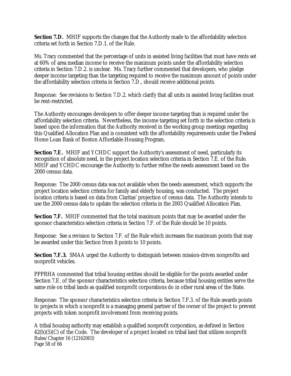**Section 7.D.** MHIF supports the changes that the Authority made to the affordability selection criteria set forth in Section 7.D.1. of the Rule.

Ms. Tracy commented that the percentage of units in assisted living facilities that must have rents set at 60% of area median income to receive the maximum points under the affordability selection criteria in Section 7.D.2. is unclear. Ms. Tracy further commented that developers, who pledge deeper income targeting than the targeting required to receive the maximum amount of points under the affordability selection criteria in Section 7.D., should receive additional points.

Response: See revisions to Section 7.D.2. which clarify that all units in assisted living facilities must be rent-restricted.

The Authority encourages developers to offer deeper income targeting than is required under the affordability selection criteria. Nevertheless, the income targeting set forth in the selection criteria is based upon the information that the Authority received in the working group meetings regarding this Qualified Allocation Plan and is consistent with the affordability requirements under the Federal Home Loan Bank of Boston Affordable Housing Program.

**Section 7.E.** MHIF and YCHDC support the Authority's assessment of need, particularly its recognition of absolute need, in the project location selection criteria in Section 7.E. of the Rule. MHIF and YCHDC encourage the Authority to further refine the needs assessment based on the 2000 census data.

Response: The 2000 census data was not available when the needs assessment, which supports the project location selection criteria for family and elderly housing, was conducted. The project location criteria is based on data from Claritas' projection of census data. The Authority intends to use the 2000 census data to update the selection criteria in the 2003 Qualified Allocation Plan.

**Section 7.F.** MHIF commented that the total maximum points that may be awarded under the sponsor characteristics selection criteria in Section 7.F. of the Rule should be 10 points.

Response: See a revision to Section 7.F. of the Rule which increases the maximum points that may be awarded under this Section from 8 points to 10 points.

**Section 7.F.3.** SMAA urged the Authority to distinguish between mission-driven nonprofits and nonprofit vehicles.

PPPRHA commented that tribal housing entities should be eligible for the points awarded under Section 7.E. of the sponsor characteristics selection criteria, because tribal housing entities serve the same role on tribal lands as qualified nonprofit corporations do in other rural areas of the State.

Response: The sponsor characteristics selection criteria in Section 7.F.3. of the Rule awards points to projects in which a nonprofit is a managing general partner of the owner of the project to prevent projects with token nonprofit involvement from receiving points.

Rules/Chapter 16 (12162003) Page 58 of 66 A tribal housing authority may establish a qualified nonprofit corporation, as defined in Section 42(h)(5)(C) of the Code. The developer of a project located on tribal land that utilizes nonprofit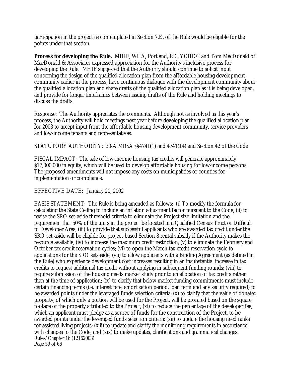participation in the project as contemplated in Section 7.E. of the Rule would be eligible for the points under that section.

**Process for developing the Rule.** MHIF, WHA, Portland, RD, YCHDC and Tom MacDonald of MacDonald & Associates expressed appreciation for the Authority's inclusive process for developing the Rule. MHIF suggested that the Authority should continue to solicit input concerning the design of the qualified allocation plan from the affordable housing development community earlier in the process, have continuous dialogue with the development community about the qualified allocation plan and share drafts of the qualified allocation plan as it is being developed, and provide for longer timeframes between issuing drafts of the Rule and holding meetings to discuss the drafts.

Response: The Authority appreciates the comments. Although not as involved as this year's process, the Authority will hold meetings next year before developing the qualified allocation plan for 2003 to accept input from the affordable housing development community, service providers and low-income tenants and representatives.

STATUTORY AUTHORITY: 30-A MRSA §§4741(1) and 4741(14) and Section 42 of the Code

FISCAL IMPACT: The sale of low-income housing tax credits will generate approximately \$17,000,000 in equity, which will be used to develop affordable housing for low-income persons. The proposed amendments will not impose any costs on municipalities or counties for implementation or compliance.

## EFFECTIVE DATE: January 20, 2002

Rules/Chapter 16 (12162003) Page 59 of 66 BASIS STATEMENT: The Rule is being amended as follows: (i) To modify the formula for calculating the State Ceiling to include an inflation adjustment factor pursuant to the Code; (ii) to revise the SRO set-aside threshold criteria to eliminate the Project size limitation and the requirement that 50% of the units in the project be located in a Qualified Census Tract or Difficult to Developer Area; (iii) to provide that successful applicants who are awarded tax credit under the SRO set-aside will be eligible for project-based Section 8 rental subsidy if the Authority makes the resource available; (iv) to increase the maximum credit restriction; (v) to eliminate the February and October tax credit reservation cycles; (vi) to open the March tax credit reservation cycle to applications for the SRO set-aside; (vii) to allow applicants with a Binding Agreement (as defined in the Rule) who experience development cost increases resulting in an insubstantial increase in tax credits to request additional tax credit without applying in subsequent funding rounds; (viii) to require submission of the housing needs market study prior to an allocation of tax credits rather than at the time of application; (ix) to clarify that below market funding commitments must include certain financing terms (i.e. interest rate, amortization period, loan term and any security required) to be awarded points under the leveraged funds selection criteria; (x) to clarify that the value of donated property, of which only a portion will be used for the Project, will be prorated based on the square footage of the property attributed to the Project; (xi) to reduce the percentage of the developer fee, which an applicant must pledge as a source of funds for the construction of the Project, to be awarded points under the leveraged funds selection criteria; (xii) to update the housing need ranks for assisted living projects; (xiii) to update and clarify the monitoring requirements in accordance with changes to the Code; and (xix) to make updates, clarifications and grammatical changes.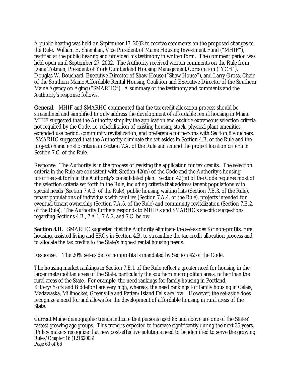A public hearing was held on September 17, 2002 to receive comments on the proposed changes to the Rule. William E. Shanahan, Vice President of Maine Housing Investment Fund ("MHIF"), testified at the public hearing and provided his testimony in written form. The comment period was held open until September 27, 2002. The Authority received written comments on the Rule from Dana Totman, President of York Cumberland Housing Management Corporation ("YCH"), Douglas W. Bouchard, Executive Director of Shaw House ("Shaw House"), and Larry Gross, Chair of the Southern Maine Affordable Rental Housing Coalition and Executive Director of the Southern Maine Agency on Aging ("SMARHC"). A summary of the testimony and comments and the Authority's response follows.

**General**. MHIF and SMARHC commented that the tax credit allocation process should be streamlined and simplified to only address the development of affordable rental housing in Maine. MHIF suggested that the Authority simplify the application and exclude extraneous selection criteria not required by the Code, i.e. rehabilitation of existing housing stock, physical plant amenities, extended use period, community revitalization, and preference for persons with Section 8 vouchers. SMARHC suggested that the Authority eliminate the set-asides in Section 4.B. of the Rule and the project characteristic criteria in Section 7.A. of the Rule and amend the project location criteria in Section 7.C. of the Rule.

Response. The Authority is in the process of revising the application for tax credits. The selection criteria in the Rule are consistent with Section 42(m) of the Code and the Authority's housing priorities set forth in the Authority's consolidated plan. Section 42(m) of the Code requires most of the selection criteria set forth in the Rule, including criteria that address tenant populations with special needs (Section 7.A.3. of the Rule), public housing waiting lists (Section 7.E.3. of the Rule), tenant populations of individuals with families (Section 7.A.4. of the Rule), projects intended for eventual tenant ownership (Section 7.A.5. of the Rule) and community revitalization (Section 7.E.2. of the Rule). The Authority furthers responds to MHIF's and SMARHC's specific suggestions regarding Sections 4.B., 7.A.1, 7.A.2, and 7.C. below.

**Section 4.B.** SMARHC suggested that the Authority eliminate the set-asides for non-profits, rural housing, assisted living and SROs in Section 4.B. to streamline the tax credit allocation process and to allocate the tax credits to the State's highest rental housing needs.

Response. The 20% set-aside for nonprofits is mandated by Section 42 of the Code.

The housing market rankings in Section 7.E.1 of the Rule reflect a greater need for housing in the larger metropolitan areas of the State, particularly the southern metropolitan areas, rather than the rural areas of the State. For example, the need rankings for family housing in Portland, Kittery/York and Biddeford are very high, whereas, the need rankings for family housing in Calais, Madawaska, Millinocket, Greenville and Patten/Island Falls are low. However, the set-aside does recognize a need for and allows for the development of affordable housing in rural areas of the State.

Rules/Chapter 16 (12162003) Page 60 of 66 Current Maine demographic trends indicate that persons aged 85 and above are one of the States' fastest growing age groups. This trend is expected to increase significantly during the next 35 years. Policy makers recognize that new cost-effective solutions need to be identified to serve the growing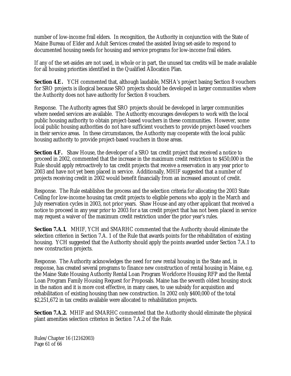number of low-income frail elders. In recognition, the Authority in conjunction with the State of Maine Bureau of Elder and Adult Services created the assisted living set-aside to respond to documented housing needs for housing and service programs for low-income frail elders.

If any of the set-asides are not used, in whole or in part, the unused tax credits will be made available for all housing priorities identified in the Qualified Allocation Plan.

**Section 4.E.** YCH commented that, although laudable, MSHA's project basing Section 8 vouchers for SRO projects is illogical because SRO projects should be developed in larger communities where the Authority does not have authority for Section 8 vouchers.

Response. The Authority agrees that SRO projects should be developed in larger communities where needed services are available. The Authority encourages developers to work with the local public housing authority to obtain project-based vouchers in these communities. However, some local public housing authorities do not have sufficient vouchers to provide project-based vouchers in their service areas. In these circumstances, the Authority may cooperate with the local public housing authority to provide project-based vouchers in those areas.

**Section 4.F.** Shaw House, the developer of a SRO tax credit project that received a notice to proceed in 2002, commented that the increase in the maximum credit restriction to \$450,000 in the Rule should apply retroactively to tax credit projects that receive a reservation in any year prior to 2003 and have not yet been placed in service. Additionally, MHIF suggested that a number of projects receiving credit in 2002 would benefit financially from an increased amount of credit.

Response. The Rule establishes the process and the selection criteria for allocating the 2003 State Ceiling for low-income housing tax credit projects to eligible persons who apply in the March and July reservation cycles in 2003, not prior years. Shaw House and any other applicant that received a notice to proceed in any year prior to 2003 for a tax credit project that has not been placed in service may request a waiver of the maximum credit restriction under the prior year's rules.

**Section 7.A.1.** MHIF, YCH and SMARHC commented that the Authority should eliminate the selection criterion in Section 7.A. 1 of the Rule that awards points for the rehabilitation of existing housing. YCH suggested that the Authority should apply the points awarded under Section 7.A.1 to new construction projects.

Response. The Authority acknowledges the need for new rental housing in the State and, in response, has created several programs to finance new construction of rental housing in Maine, e.g. the Maine State Housing Authority Rental Loan Program Workforce Housing RFP and the Rental Loan Program Family Housing Request for Proposals. Maine has the seventh oldest housing stock in the nation and it is more cost effective, in many cases, to use subsidy for acquisition and rehabilitation of existing housing than new construction. In 2002 only \$400,000 of the total \$2,251,672 in tax credits available were allocated to rehabilitation projects.

**Section 7.A.2.** MHIF and SMARHC commented that the Authority should eliminate the physical plant amenities selection criterion in Section 7.A.2 of the Rule.

Rules/Chapter 16 (12162003) Page 61 of 66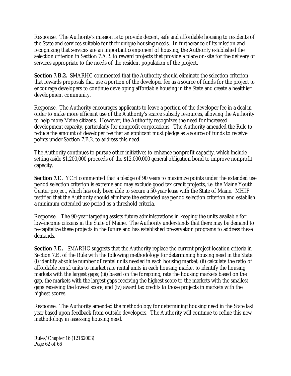Response. The Authority's mission is to provide decent, safe and affordable housing to residents of the State and services suitable for their unique housing needs. In furtherance of its mission and recognizing that services are an important component of housing, the Authority established the selection criterion in Section 7.A.2. to reward projects that provide a place on-site for the delivery of services appropriate to the needs of the resident population of the project.

**Section 7.B.2.** SMARHC commented that the Authority should eliminate the selection criterion that rewards proposals that use a portion of the developer fee as a source of funds for the project to encourage developers to continue developing affordable housing in the State and create a healthier development community.

Response. The Authority encourages applicants to leave a portion of the developer fee in a deal in order to make more efficient use of the Authority's scarce subsidy resources, allowing the Authority to help more Maine citizens. However, the Authority recognizes the need for increased development capacity, particularly for nonprofit corporations. The Authority amended the Rule to reduce the amount of developer fee that an applicant must pledge as a source of funds to receive points under Section 7.B.2. to address this need.

The Authority continues to pursue other initiatives to enhance nonprofit capacity, which include setting aside \$1,200,000 proceeds of the \$12,000,000 general obligation bond to improve nonprofit capacity.

**Section 7.C.** YCH commented that a pledge of 90 years to maximize points under the extended use period selection criterion is extreme and may exclude good tax credit projects, i.e. the Maine Youth Center project, which has only been able to secure a 50-year lease with the State of Maine. MHIF testified that the Authority should eliminate the extended use period selection criterion and establish a minimum extended use period as a threshold criteria.

Response. The 90-year targeting assists future administrations in keeping the units available for low-income citizens in the State of Maine. The Authority understands that there may be demand to re-capitalize these projects in the future and has established preservation programs to address these demands.

**Section 7.E.** SMARHC suggests that the Authority replace the current project location criteria in Section 7.E. of the Rule with the following methodology for determining housing need in the State: (i) identify absolute number of rental units needed in each housing market; (ii) calculate the ratio of affordable rental units to market rate rental units in each housing market to identify the housing markets with the largest gaps; (iii) based on the foregoing, rate the housing markets based on the gap, the markets with the largest gaps receiving the highest score to the markets with the smallest gaps receiving the lowest score; and (iv) award tax credits to those projects in markets with the highest scores.

Response. The Authority amended the methodology for determining housing need in the State last year based upon feedback from outside developers. The Authority will continue to refine this new methodology in assessing housing need.

Rules/Chapter 16 (12162003) Page 62 of 66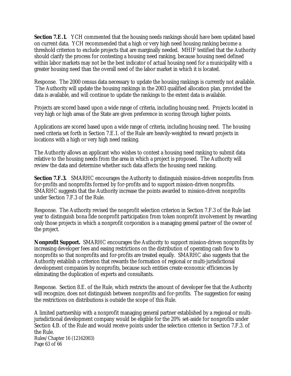**Section 7.E.1.** YCH commented that the housing needs rankings should have been updated based on current data. YCH recommended that a high or very high need housing ranking become a threshold criterion to exclude projects that are marginally needed. MHIF testified that the Authority should clarify the process for contesting a housing need ranking, because housing need defined within labor markets may not be the best indicator of actual housing need for a municipality with a greater housing need than the overall need of the labor market in which it is located.

Response. The 2000 census data necessary to update the housing rankings is currently not available. The Authority will update the housing rankings in the 2003 qualified allocation plan, provided the data is available, and will continue to update the rankings to the extent data is available.

Projects are scored based upon a wide range of criteria, including housing need. Projects located in very high or high areas of the State are given preference in scoring through higher points.

Applications are scored based upon a wide range of criteria, including housing need. The housing need criteria set forth in Section 7.E.1. of the Rule are heavily-weighted to reward projects in locations with a high or very high need ranking.

The Authority allows an applicant who wishes to contest a housing need ranking to submit data relative to the housing needs from the area in which a project is proposed. The Authority will review the data and determine whether such data affects the housing need ranking.

**Section 7.F.3.** SMARHC encourages the Authority to distinguish mission-driven nonprofits from for-profits and nonprofits formed by for-profits and to support mission-driven nonprofits. SMARHC suggests that the Authority increase the points awarded to mission-driven nonprofits under Section 7.F.3 of the Rule.

Response. The Authority revised the nonprofit selection criterion in Section 7.F.3 of the Rule last year to distinguish bona fide nonprofit participation from token nonprofit involvement by rewarding only those projects in which a nonprofit corporation is a managing general partner of the owner of the project.

**Nonprofit Support.** SMARHC encourages the Authority to support mission-driven nonprofits by increasing developer fees and easing restrictions on the distribution of operating cash flow to nonprofits so that nonprofits and for-profits are treated equally. SMARHC also suggests that the Authority establish a criterion that rewards the formation of regional or multi-jurisdictional development companies by nonprofits, because such entities create economic efficiencies by eliminating the duplication of experts and consultants.

Response. Section 8.E. of the Rule, which restricts the amount of developer fee that the Authority will recognize, does not distinguish between nonprofits and for-profits. The suggestion for easing the restrictions on distributions is outside the scope of this Rule.

Rules/Chapter 16 (12162003) Page 63 of 66 A limited partnership with a nonprofit managing general partner established by a regional or multijurisdictional development company would be eligible for the 20% set-aside for nonprofits under Section 4.B. of the Rule and would receive points under the selection criterion in Section 7.F.3. of the Rule.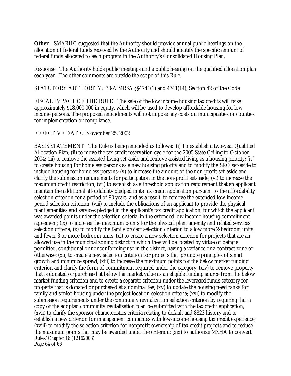**Other**. SMARHC suggested that the Authority should provide annual public hearings on the allocation of federal funds received by the Authority and should identify the specific amount of federal funds allocated to each program in the Authority's Consolidated Housing Plan.

Response: The Authority holds public meetings and a public hearing on the qualified allocation plan each year. The other comments are outside the scope of this Rule.

STATUTORY AUTHORITY: 30-A MRSA §§4741(1) and 4741(14), Section 42 of the Code

FISCAL IMPACT OF THE RULE: The sale of the low income housing tax credits will raise approximately \$18,000,000 in equity, which will be used to develop affordable housing for lowincome persons. The proposed amendments will not impose any costs on municipalities or counties for implementation or compliance.

EFFECTIVE DATE: November 25, 2002

Rules/Chapter 16 (12162003) Page 64 of 66 BASIS STATEMENT: The Rule is being amended as follows: (i) To establish a two-year Qualified Allocation Plan; (ii) to move the tax credit reservation cycle for the 2005 State Ceiling to October 2004; (iii) to remove the assisted living set-aside and remove assisted living as a housing priority; (iv) to create housing for homeless persons as a new housing priority and to modify the SRO set-aside to include housing for homeless persons; (v) to increase the amount of the non-profit set-aside and clarify the submission requirements for participation in the non-profit set-aside; (vi) to increase the maximum credit restriction; (vii) to establish as a threshold application requirement that an applicant maintain the additional affordability pledged in its tax credit application pursuant to the affordability selection criterion for a period of 90 years, and as a result, to remove the extended low-income period selection criterion; (viii) to include the obligations of an applicant to provide the physical plant amenities and services pledged in the applicant's tax credit application, for which the applicant was awarded points under the selection criteria, in the extended low income housing commitment agreement; (ix) to increase the maximum points for the physical plant amenity and related services selection criteria; (x) to modify the family project selection criterion to allow more 2-bedroom units and fewer 3 or more bedroom units; (xi) to create a new selection criterion for projects that are an allowed use in the municipal zoning district in which they will be located by virtue of being a permitted, conditional or nonconforming use in the district, having a variance or a contract zone or otherwise; (xii) to create a new selection criterion for projects that promote principles of smart growth and minimize sprawl; (xiii) to increase the maximum points for the below market funding criterion and clarify the form of commitment required under the category; (xiv) to remove property that is donated or purchased at below fair market value as an eligible funding source from the below market funding criterion and to create a separate criterion under the leveraged funds category for property that is donated or purchased at a nominal fee; (xv) to update the housing need ranks for family and senior housing under the project location selection criteria; (xvi) to modify the submission requirements under the community revitalization selection criterion by requiring that a copy of the adopted community revitalization plan be submitted with the tax credit application; (xvii) to clarify the sponsor characteristics criteria relating to default and 8823 history and to establish a new criterion for management companies with low-income housing tax credit experience; (xviii) to modify the selection criterion for nonprofit ownership of tax credit projects and to reduce the maximum points that may be awarded under the criterion; (xix) to authorize MSHA to convert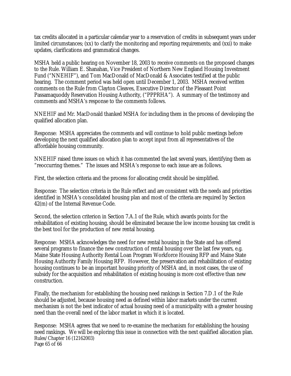tax credits allocated in a particular calendar year to a reservation of credits in subsequent years under limited circumstances; (xx) to clarify the monitoring and reporting requirements; and (xxi) to make updates, clarifications and grammatical changes.

MSHA held a public hearing on November 18, 2003 to receive comments on the proposed changes to the Rule. William E. Shanahan, Vice President of Northern New England Housing Investment Fund ("NNEHIF"), and Tom MacDonald of MacDonald & Associates testified at the public hearing. The comment period was held open until December 1, 2003. MSHA received written comments on the Rule from Clayton Cleaves, Executive Director of the Pleasant Point Passamaquoddy Reservation Housing Authority, ("PPPRHA"). A summary of the testimony and comments and MSHA's response to the comments follows.

NNEHIF and Mr. MacDonald thanked MSHA for including them in the process of developing the qualified allocation plan.

Response: MSHA appreciates the comments and will continue to hold public meetings before developing the next qualified allocation plan to accept input from all representatives of the affordable housing community.

NNEHIF raised three issues on which it has commented the last several years, identifying them as "reoccurring themes." The issues and MSHA's response to each issue are as follows.

First, the selection criteria and the process for allocating credit should be simplified.

Response: The selection criteria in the Rule reflect and are consistent with the needs and priorities identified in MSHA's consolidated housing plan and most of the criteria are required by Section 42(m) of the Internal Revenue Code.

Second, the selection criterion in Section 7.A.1 of the Rule, which awards points for the rehabilitation of existing housing, should be eliminated because the low income housing tax credit is the best tool for the production of new rental housing.

Response: MSHA acknowledges the need for new rental housing in the State and has offered several programs to finance the new construction of rental housing over the last few years, e.g. Maine State Housing Authority Rental Loan Program Workforce Housing RFP and Maine State Housing Authority Family Housing RFP. However, the preservation and rehabilitation of existing housing continues to be an important housing priority of MSHA and, in most cases, the use of subsidy for the acquisition and rehabilitation of existing housing is more cost effective than new construction.

Finally, the mechanism for establishing the housing need rankings in Section 7.D.1 of the Rule should be adjusted, because housing need as defined within labor markets under the current mechanism is not the best indicator of actual housing need of a municipality with a greater housing need than the overall need of the labor market in which it is located.

Rules/Chapter 16 (12162003) Page 65 of 66 Response: MSHA agrees that we need to re-examine the mechanism for establishing the housing need rankings. We will be exploring this issue in connection with the next qualified allocation plan.